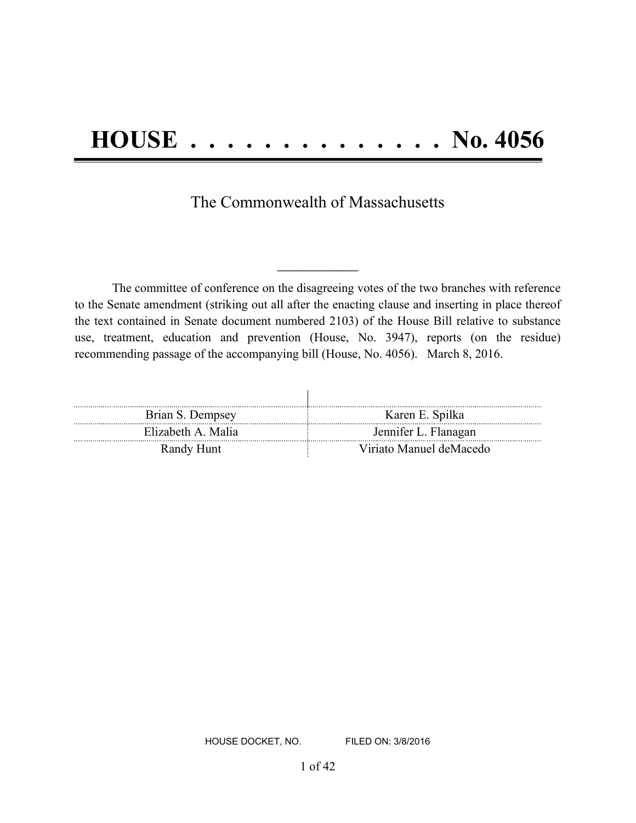The Commonwealth of Massachusetts

The committee of conference on the disagreeing votes of the two branches with reference to the Senate amendment (striking out all after the enacting clause and inserting in place thereof the text contained in Senate document numbered 2103) of the House Bill relative to substance use, treatment, education and prevention (House, No. 3947), reports (on the residue) recommending passage of the accompanying bill (House, No. 4056). March 8, 2016.

**\_\_\_\_\_\_\_\_\_\_\_\_\_\_\_**

| Brian S. Dempsey  | Karen E. Spilka         |
|-------------------|-------------------------|
| Elizabeth A Malia | Jennifer L. Flanagan    |
| Randy Hunt        | Viriato Manuel deMacedo |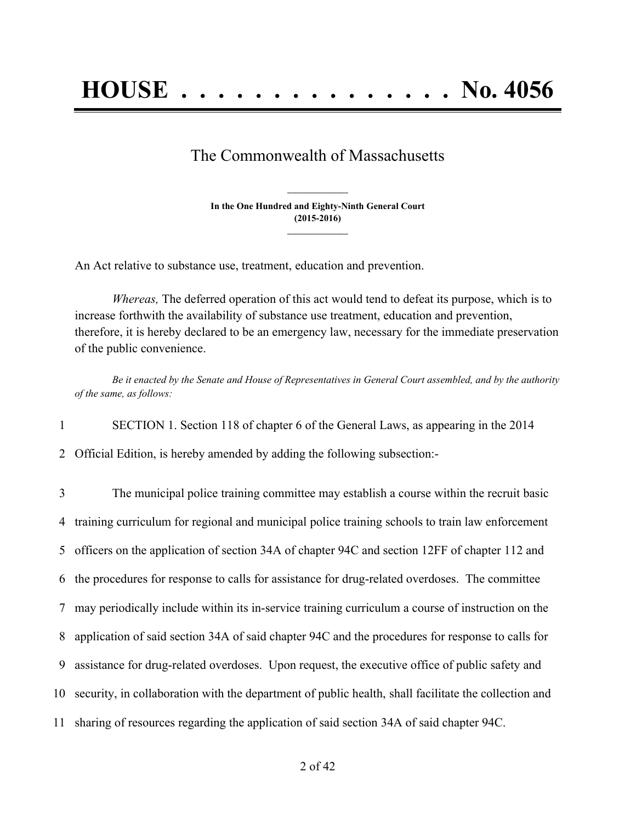# The Commonwealth of Massachusetts

**In the One Hundred and Eighty-Ninth General Court (2015-2016) \_\_\_\_\_\_\_\_\_\_\_\_\_\_\_**

**\_\_\_\_\_\_\_\_\_\_\_\_\_\_\_**

An Act relative to substance use, treatment, education and prevention.

*Whereas,* The deferred operation of this act would tend to defeat its purpose, which is to increase forthwith the availability of substance use treatment, education and prevention, therefore, it is hereby declared to be an emergency law, necessary for the immediate preservation of the public convenience.

Be it enacted by the Senate and House of Representatives in General Court assembled, and by the authority *of the same, as follows:*

1 SECTION 1. Section 118 of chapter 6 of the General Laws, as appearing in the 2014

2 Official Edition, is hereby amended by adding the following subsection:-

 The municipal police training committee may establish a course within the recruit basic training curriculum for regional and municipal police training schools to train law enforcement officers on the application of section 34A of chapter 94C and section 12FF of chapter 112 and the procedures for response to calls for assistance for drug-related overdoses. The committee may periodically include within its in-service training curriculum a course of instruction on the application of said section 34A of said chapter 94C and the procedures for response to calls for assistance for drug-related overdoses. Upon request, the executive office of public safety and security, in collaboration with the department of public health, shall facilitate the collection and sharing of resources regarding the application of said section 34A of said chapter 94C.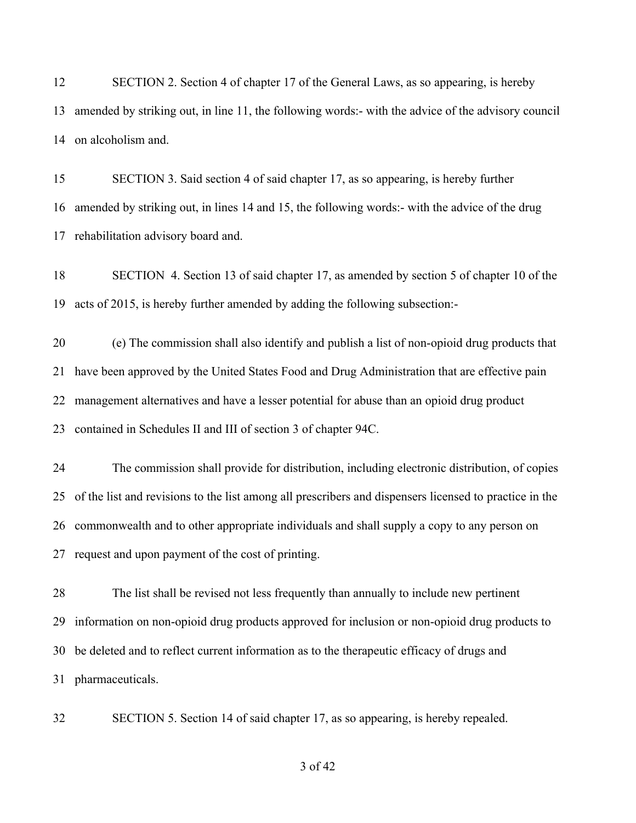SECTION 2. Section 4 of chapter 17 of the General Laws, as so appearing, is hereby amended by striking out, in line 11, the following words:- with the advice of the advisory council on alcoholism and.

 SECTION 3. Said section 4 of said chapter 17, as so appearing, is hereby further amended by striking out, in lines 14 and 15, the following words:- with the advice of the drug rehabilitation advisory board and.

 SECTION 4. Section 13 of said chapter 17, as amended by section 5 of chapter 10 of the acts of 2015, is hereby further amended by adding the following subsection:-

 (e) The commission shall also identify and publish a list of non-opioid drug products that have been approved by the United States Food and Drug Administration that are effective pain management alternatives and have a lesser potential for abuse than an opioid drug product contained in Schedules II and III of section 3 of chapter 94C.

 The commission shall provide for distribution, including electronic distribution, of copies of the list and revisions to the list among all prescribers and dispensers licensed to practice in the commonwealth and to other appropriate individuals and shall supply a copy to any person on request and upon payment of the cost of printing.

 The list shall be revised not less frequently than annually to include new pertinent information on non-opioid drug products approved for inclusion or non-opioid drug products to be deleted and to reflect current information as to the therapeutic efficacy of drugs and pharmaceuticals.

SECTION 5. Section 14 of said chapter 17, as so appearing, is hereby repealed.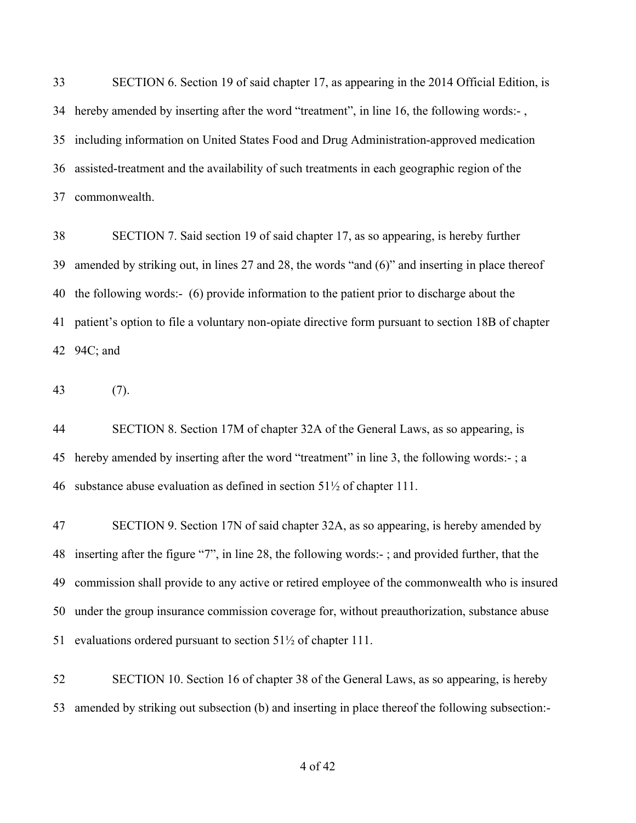SECTION 6. Section 19 of said chapter 17, as appearing in the 2014 Official Edition, is hereby amended by inserting after the word "treatment", in line 16, the following words:- , including information on United States Food and Drug Administration-approved medication assisted-treatment and the availability of such treatments in each geographic region of the commonwealth.

 SECTION 7. Said section 19 of said chapter 17, as so appearing, is hereby further amended by striking out, in lines 27 and 28, the words "and (6)" and inserting in place thereof the following words:- (6) provide information to the patient prior to discharge about the patient's option to file a voluntary non-opiate directive form pursuant to section 18B of chapter 94C; and

(7).

 SECTION 8. Section 17M of chapter 32A of the General Laws, as so appearing, is hereby amended by inserting after the word "treatment" in line 3, the following words:- ; a substance abuse evaluation as defined in section 51½ of chapter 111.

 SECTION 9. Section 17N of said chapter 32A, as so appearing, is hereby amended by inserting after the figure "7", in line 28, the following words:- ; and provided further, that the commission shall provide to any active or retired employee of the commonwealth who is insured under the group insurance commission coverage for, without preauthorization, substance abuse evaluations ordered pursuant to section 51½ of chapter 111.

 SECTION 10. Section 16 of chapter 38 of the General Laws, as so appearing, is hereby amended by striking out subsection (b) and inserting in place thereof the following subsection:-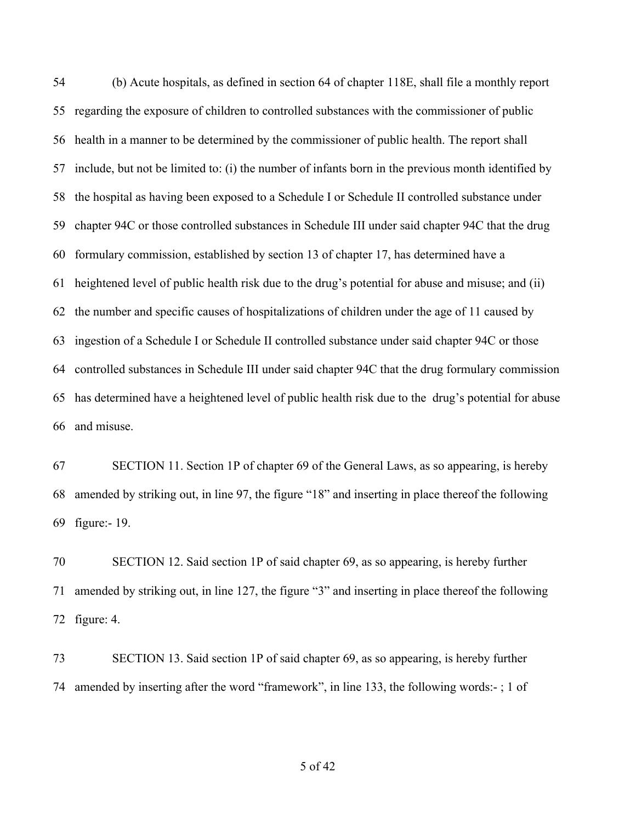(b) Acute hospitals, as defined in section 64 of chapter 118E, shall file a monthly report regarding the exposure of children to controlled substances with the commissioner of public health in a manner to be determined by the commissioner of public health. The report shall include, but not be limited to: (i) the number of infants born in the previous month identified by the hospital as having been exposed to a Schedule I or Schedule II controlled substance under chapter 94C or those controlled substances in Schedule III under said chapter 94C that the drug formulary commission, established by section 13 of chapter 17, has determined have a heightened level of public health risk due to the drug's potential for abuse and misuse; and (ii) the number and specific causes of hospitalizations of children under the age of 11 caused by ingestion of a Schedule I or Schedule II controlled substance under said chapter 94C or those controlled substances in Schedule III under said chapter 94C that the drug formulary commission has determined have a heightened level of public health risk due to the drug's potential for abuse and misuse.

 SECTION 11. Section 1P of chapter 69 of the General Laws, as so appearing, is hereby amended by striking out, in line 97, the figure "18" and inserting in place thereof the following figure:- 19.

 SECTION 12. Said section 1P of said chapter 69, as so appearing, is hereby further amended by striking out, in line 127, the figure "3" and inserting in place thereof the following figure: 4.

 SECTION 13. Said section 1P of said chapter 69, as so appearing, is hereby further amended by inserting after the word "framework", in line 133, the following words:- ; 1 of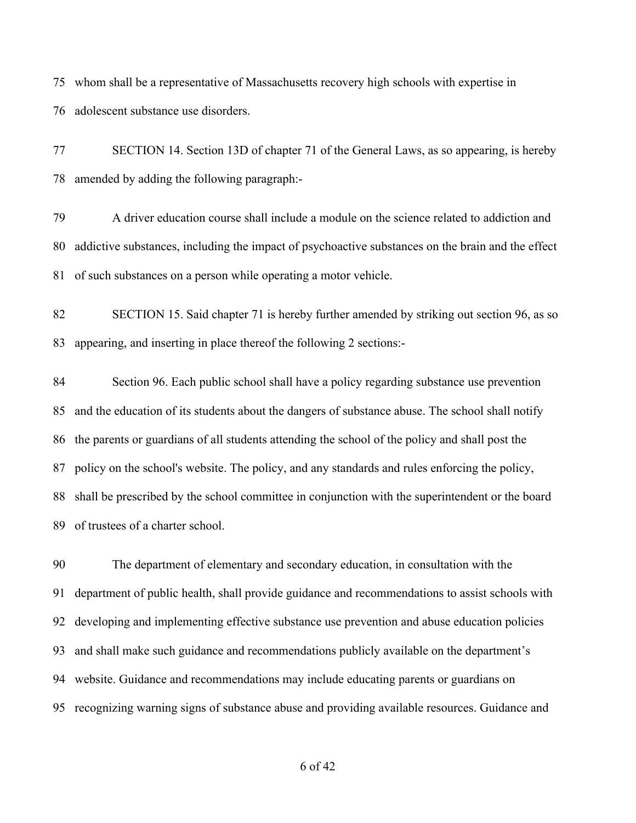whom shall be a representative of Massachusetts recovery high schools with expertise in adolescent substance use disorders.

 SECTION 14. Section 13D of chapter 71 of the General Laws, as so appearing, is hereby amended by adding the following paragraph:-

 A driver education course shall include a module on the science related to addiction and addictive substances, including the impact of psychoactive substances on the brain and the effect of such substances on a person while operating a motor vehicle.

 SECTION 15. Said chapter 71 is hereby further amended by striking out section 96, as so appearing, and inserting in place thereof the following 2 sections:-

 Section 96. Each public school shall have a policy regarding substance use prevention and the education of its students about the dangers of substance abuse. The school shall notify the parents or guardians of all students attending the school of the policy and shall post the policy on the school's website. The policy, and any standards and rules enforcing the policy, shall be prescribed by the school committee in conjunction with the superintendent or the board of trustees of a charter school.

 The department of elementary and secondary education, in consultation with the department of public health, shall provide guidance and recommendations to assist schools with developing and implementing effective substance use prevention and abuse education policies and shall make such guidance and recommendations publicly available on the department's website. Guidance and recommendations may include educating parents or guardians on recognizing warning signs of substance abuse and providing available resources. Guidance and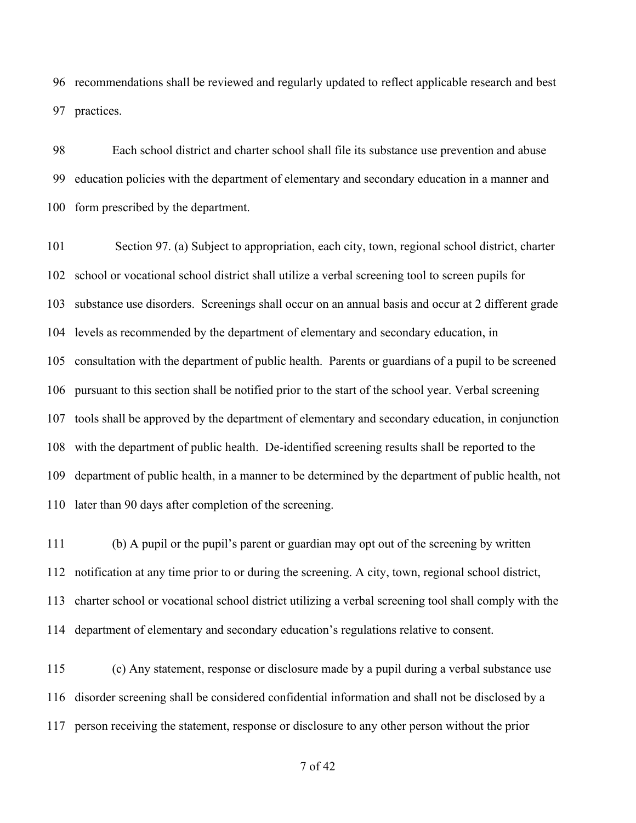recommendations shall be reviewed and regularly updated to reflect applicable research and best practices.

 Each school district and charter school shall file its substance use prevention and abuse education policies with the department of elementary and secondary education in a manner and form prescribed by the department.

 Section 97. (a) Subject to appropriation, each city, town, regional school district, charter school or vocational school district shall utilize a verbal screening tool to screen pupils for substance use disorders. Screenings shall occur on an annual basis and occur at 2 different grade levels as recommended by the department of elementary and secondary education, in consultation with the department of public health. Parents or guardians of a pupil to be screened pursuant to this section shall be notified prior to the start of the school year. Verbal screening tools shall be approved by the department of elementary and secondary education, in conjunction with the department of public health. De-identified screening results shall be reported to the department of public health, in a manner to be determined by the department of public health, not later than 90 days after completion of the screening.

 (b) A pupil or the pupil's parent or guardian may opt out of the screening by written notification at any time prior to or during the screening. A city, town, regional school district, charter school or vocational school district utilizing a verbal screening tool shall comply with the department of elementary and secondary education's regulations relative to consent.

 (c) Any statement, response or disclosure made by a pupil during a verbal substance use disorder screening shall be considered confidential information and shall not be disclosed by a person receiving the statement, response or disclosure to any other person without the prior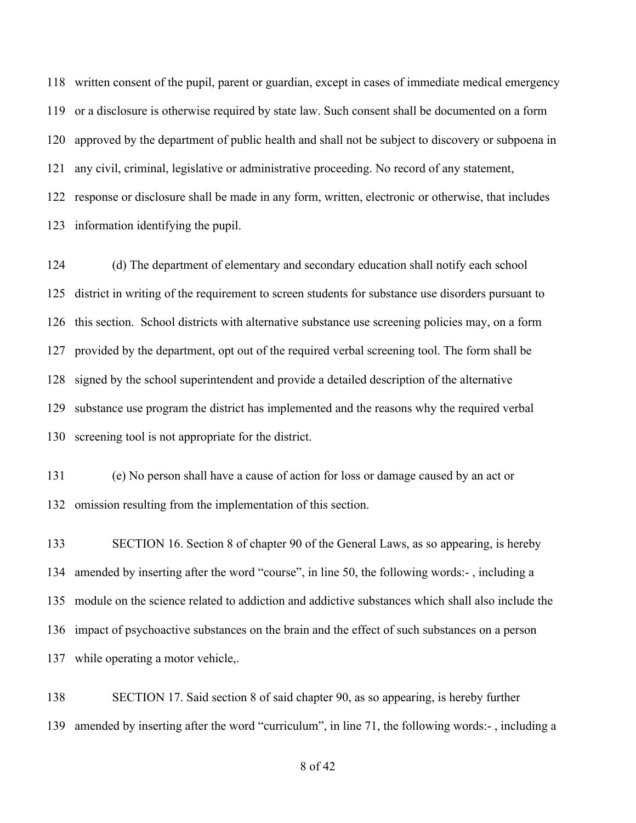written consent of the pupil, parent or guardian, except in cases of immediate medical emergency or a disclosure is otherwise required by state law. Such consent shall be documented on a form approved by the department of public health and shall not be subject to discovery or subpoena in any civil, criminal, legislative or administrative proceeding. No record of any statement, response or disclosure shall be made in any form, written, electronic or otherwise, that includes information identifying the pupil.

 (d) The department of elementary and secondary education shall notify each school district in writing of the requirement to screen students for substance use disorders pursuant to this section. School districts with alternative substance use screening policies may, on a form provided by the department, opt out of the required verbal screening tool. The form shall be signed by the school superintendent and provide a detailed description of the alternative substance use program the district has implemented and the reasons why the required verbal screening tool is not appropriate for the district.

 (e) No person shall have a cause of action for loss or damage caused by an act or omission resulting from the implementation of this section.

 SECTION 16. Section 8 of chapter 90 of the General Laws, as so appearing, is hereby amended by inserting after the word "course", in line 50, the following words:- , including a module on the science related to addiction and addictive substances which shall also include the impact of psychoactive substances on the brain and the effect of such substances on a person while operating a motor vehicle,.

 SECTION 17. Said section 8 of said chapter 90, as so appearing, is hereby further amended by inserting after the word "curriculum", in line 71, the following words:- , including a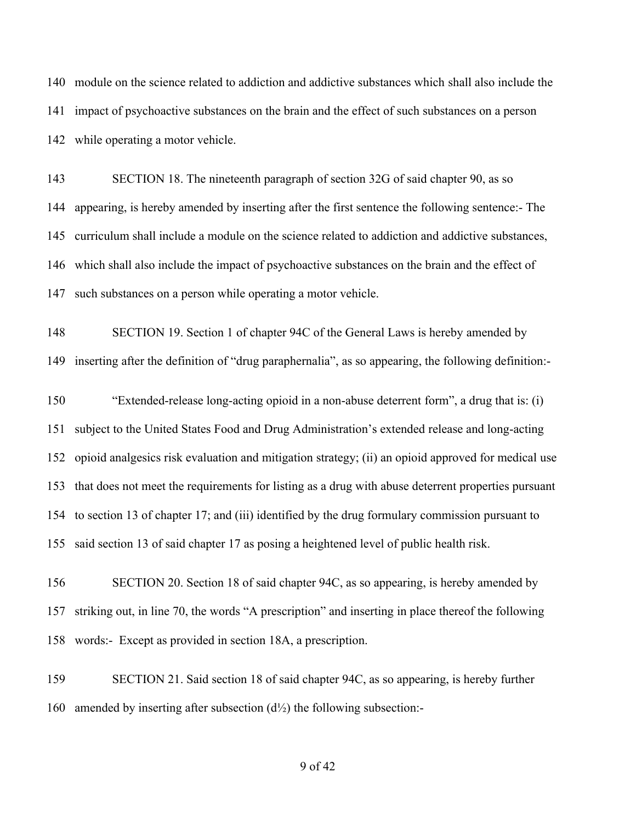module on the science related to addiction and addictive substances which shall also include the impact of psychoactive substances on the brain and the effect of such substances on a person while operating a motor vehicle.

 SECTION 18. The nineteenth paragraph of section 32G of said chapter 90, as so appearing, is hereby amended by inserting after the first sentence the following sentence:- The curriculum shall include a module on the science related to addiction and addictive substances, which shall also include the impact of psychoactive substances on the brain and the effect of such substances on a person while operating a motor vehicle.

 SECTION 19. Section 1 of chapter 94C of the General Laws is hereby amended by inserting after the definition of "drug paraphernalia", as so appearing, the following definition:-

 "Extended-release long-acting opioid in a non-abuse deterrent form", a drug that is: (i) subject to the United States Food and Drug Administration's extended release and long-acting opioid analgesics risk evaluation and mitigation strategy; (ii) an opioid approved for medical use that does not meet the requirements for listing as a drug with abuse deterrent properties pursuant to section 13 of chapter 17; and (iii) identified by the drug formulary commission pursuant to said section 13 of said chapter 17 as posing a heightened level of public health risk.

 SECTION 20. Section 18 of said chapter 94C, as so appearing, is hereby amended by striking out, in line 70, the words "A prescription" and inserting in place thereof the following words:- Except as provided in section 18A, a prescription.

 SECTION 21. Said section 18 of said chapter 94C, as so appearing, is hereby further 160 amended by inserting after subsection  $(d<sup>1</sup>/<sub>2</sub>)$  the following subsection: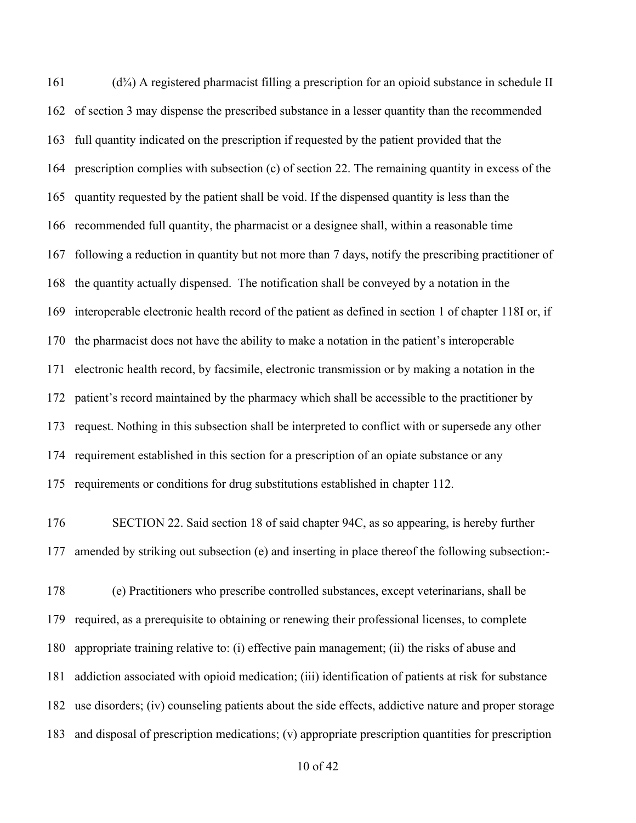(d<sup>3</sup>/<sub>4</sub>) A registered pharmacist filling a prescription for an opioid substance in schedule II of section 3 may dispense the prescribed substance in a lesser quantity than the recommended full quantity indicated on the prescription if requested by the patient provided that the prescription complies with subsection (c) of section 22. The remaining quantity in excess of the quantity requested by the patient shall be void. If the dispensed quantity is less than the recommended full quantity, the pharmacist or a designee shall, within a reasonable time following a reduction in quantity but not more than 7 days, notify the prescribing practitioner of the quantity actually dispensed. The notification shall be conveyed by a notation in the interoperable electronic health record of the patient as defined in section 1 of chapter 118I or, if the pharmacist does not have the ability to make a notation in the patient's interoperable electronic health record, by facsimile, electronic transmission or by making a notation in the patient's record maintained by the pharmacy which shall be accessible to the practitioner by request. Nothing in this subsection shall be interpreted to conflict with or supersede any other requirement established in this section for a prescription of an opiate substance or any requirements or conditions for drug substitutions established in chapter 112.

- SECTION 22. Said section 18 of said chapter 94C, as so appearing, is hereby further amended by striking out subsection (e) and inserting in place thereof the following subsection:-
- (e) Practitioners who prescribe controlled substances, except veterinarians, shall be required, as a prerequisite to obtaining or renewing their professional licenses, to complete appropriate training relative to: (i) effective pain management; (ii) the risks of abuse and addiction associated with opioid medication; (iii) identification of patients at risk for substance use disorders; (iv) counseling patients about the side effects, addictive nature and proper storage and disposal of prescription medications; (v) appropriate prescription quantities for prescription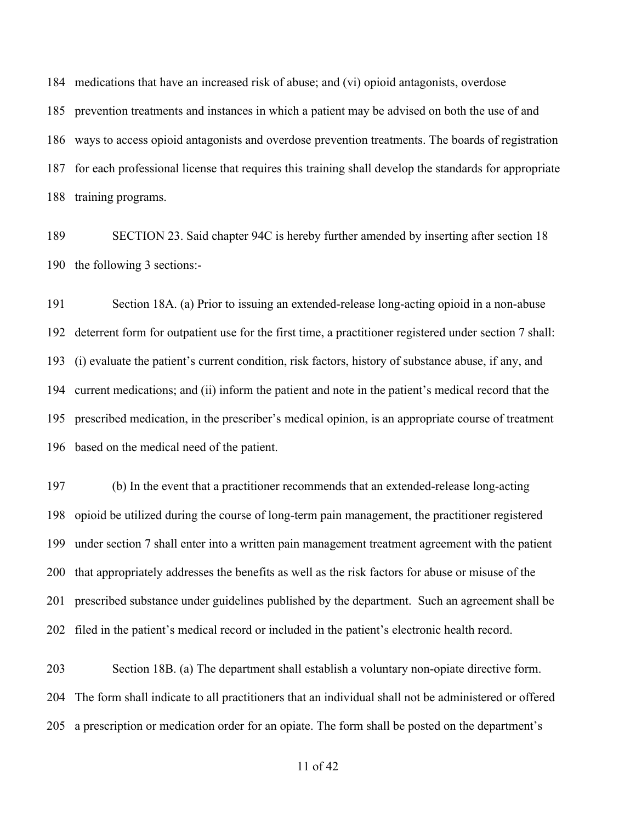medications that have an increased risk of abuse; and (vi) opioid antagonists, overdose prevention treatments and instances in which a patient may be advised on both the use of and ways to access opioid antagonists and overdose prevention treatments. The boards of registration for each professional license that requires this training shall develop the standards for appropriate training programs.

 SECTION 23. Said chapter 94C is hereby further amended by inserting after section 18 the following 3 sections:-

 Section 18A. (a) Prior to issuing an extended-release long-acting opioid in a non-abuse deterrent form for outpatient use for the first time, a practitioner registered under section 7 shall: (i) evaluate the patient's current condition, risk factors, history of substance abuse, if any, and current medications; and (ii) inform the patient and note in the patient's medical record that the prescribed medication, in the prescriber's medical opinion, is an appropriate course of treatment based on the medical need of the patient.

 (b) In the event that a practitioner recommends that an extended-release long-acting opioid be utilized during the course of long-term pain management, the practitioner registered under section 7 shall enter into a written pain management treatment agreement with the patient that appropriately addresses the benefits as well as the risk factors for abuse or misuse of the prescribed substance under guidelines published by the department. Such an agreement shall be filed in the patient's medical record or included in the patient's electronic health record.

 Section 18B. (a) The department shall establish a voluntary non-opiate directive form. The form shall indicate to all practitioners that an individual shall not be administered or offered a prescription or medication order for an opiate. The form shall be posted on the department's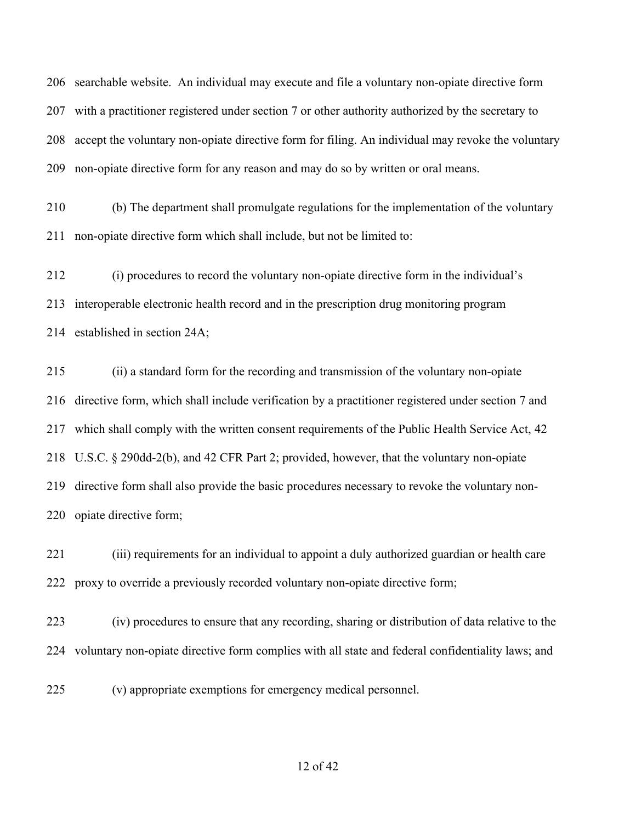searchable website. An individual may execute and file a voluntary non-opiate directive form with a practitioner registered under section 7 or other authority authorized by the secretary to accept the voluntary non-opiate directive form for filing. An individual may revoke the voluntary non-opiate directive form for any reason and may do so by written or oral means.

 (b) The department shall promulgate regulations for the implementation of the voluntary non-opiate directive form which shall include, but not be limited to:

 (i) procedures to record the voluntary non-opiate directive form in the individual's interoperable electronic health record and in the prescription drug monitoring program established in section 24A;

 (ii) a standard form for the recording and transmission of the voluntary non-opiate directive form, which shall include verification by a practitioner registered under section 7 and which shall comply with the written consent requirements of the Public Health Service Act, 42 U.S.C. § 290dd-2(b), and 42 CFR Part 2; provided, however, that the voluntary non-opiate directive form shall also provide the basic procedures necessary to revoke the voluntary non-opiate directive form;

 (iii) requirements for an individual to appoint a duly authorized guardian or health care proxy to override a previously recorded voluntary non-opiate directive form;

 (iv) procedures to ensure that any recording, sharing or distribution of data relative to the voluntary non-opiate directive form complies with all state and federal confidentiality laws; and

(v) appropriate exemptions for emergency medical personnel.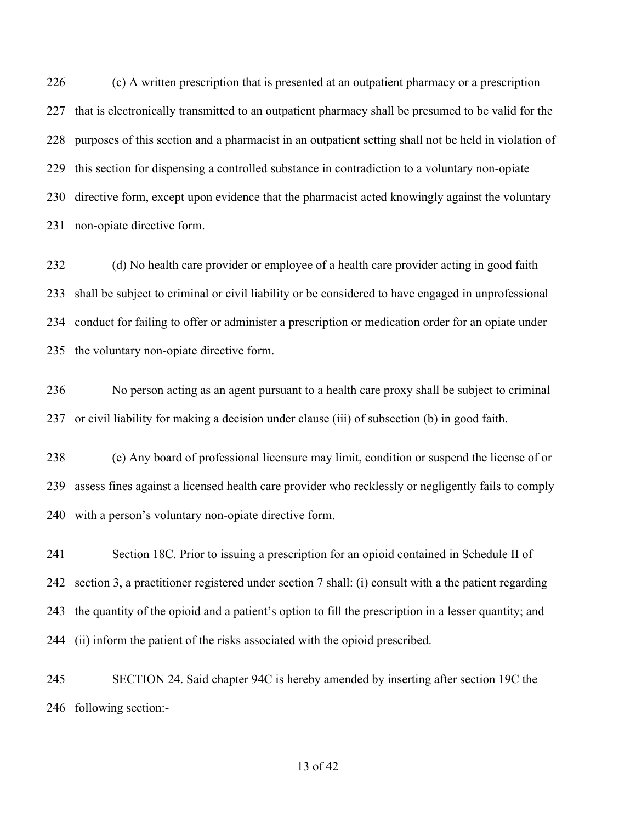(c) A written prescription that is presented at an outpatient pharmacy or a prescription that is electronically transmitted to an outpatient pharmacy shall be presumed to be valid for the purposes of this section and a pharmacist in an outpatient setting shall not be held in violation of this section for dispensing a controlled substance in contradiction to a voluntary non-opiate directive form, except upon evidence that the pharmacist acted knowingly against the voluntary non-opiate directive form.

 (d) No health care provider or employee of a health care provider acting in good faith shall be subject to criminal or civil liability or be considered to have engaged in unprofessional conduct for failing to offer or administer a prescription or medication order for an opiate under the voluntary non-opiate directive form.

 No person acting as an agent pursuant to a health care proxy shall be subject to criminal or civil liability for making a decision under clause (iii) of subsection (b) in good faith.

 (e) Any board of professional licensure may limit, condition or suspend the license of or assess fines against a licensed health care provider who recklessly or negligently fails to comply with a person's voluntary non-opiate directive form.

 Section 18C. Prior to issuing a prescription for an opioid contained in Schedule II of section 3, a practitioner registered under section 7 shall: (i) consult with a the patient regarding the quantity of the opioid and a patient's option to fill the prescription in a lesser quantity; and (ii) inform the patient of the risks associated with the opioid prescribed.

 SECTION 24. Said chapter 94C is hereby amended by inserting after section 19C the following section:-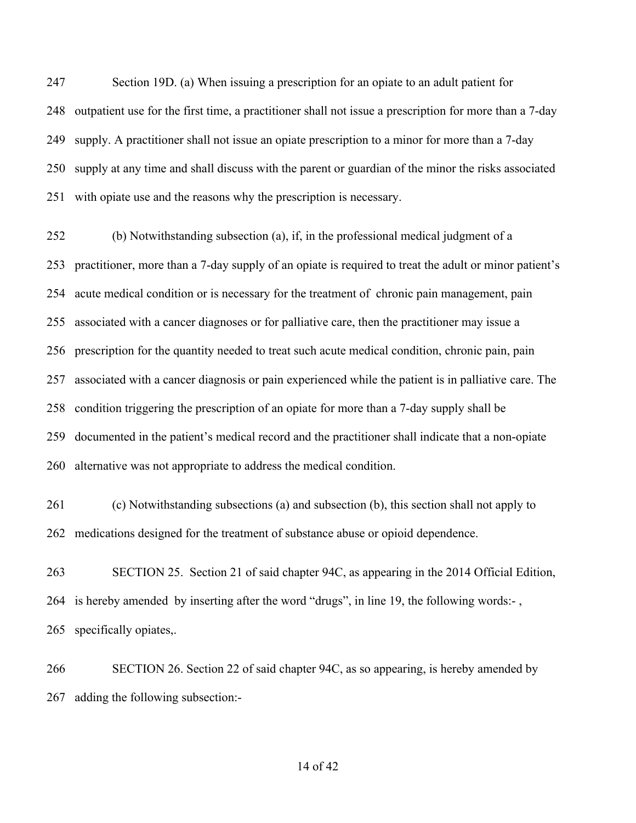Section 19D. (a) When issuing a prescription for an opiate to an adult patient for outpatient use for the first time, a practitioner shall not issue a prescription for more than a 7-day supply. A practitioner shall not issue an opiate prescription to a minor for more than a 7-day supply at any time and shall discuss with the parent or guardian of the minor the risks associated with opiate use and the reasons why the prescription is necessary.

 (b) Notwithstanding subsection (a), if, in the professional medical judgment of a practitioner, more than a 7-day supply of an opiate is required to treat the adult or minor patient's acute medical condition or is necessary for the treatment of chronic pain management, pain associated with a cancer diagnoses or for palliative care, then the practitioner may issue a prescription for the quantity needed to treat such acute medical condition, chronic pain, pain associated with a cancer diagnosis or pain experienced while the patient is in palliative care. The condition triggering the prescription of an opiate for more than a 7-day supply shall be documented in the patient's medical record and the practitioner shall indicate that a non-opiate alternative was not appropriate to address the medical condition.

 (c) Notwithstanding subsections (a) and subsection (b), this section shall not apply to medications designed for the treatment of substance abuse or opioid dependence.

 SECTION 25. Section 21 of said chapter 94C, as appearing in the 2014 Official Edition, is hereby amended by inserting after the word "drugs", in line 19, the following words:- , specifically opiates,.

 SECTION 26. Section 22 of said chapter 94C, as so appearing, is hereby amended by adding the following subsection:-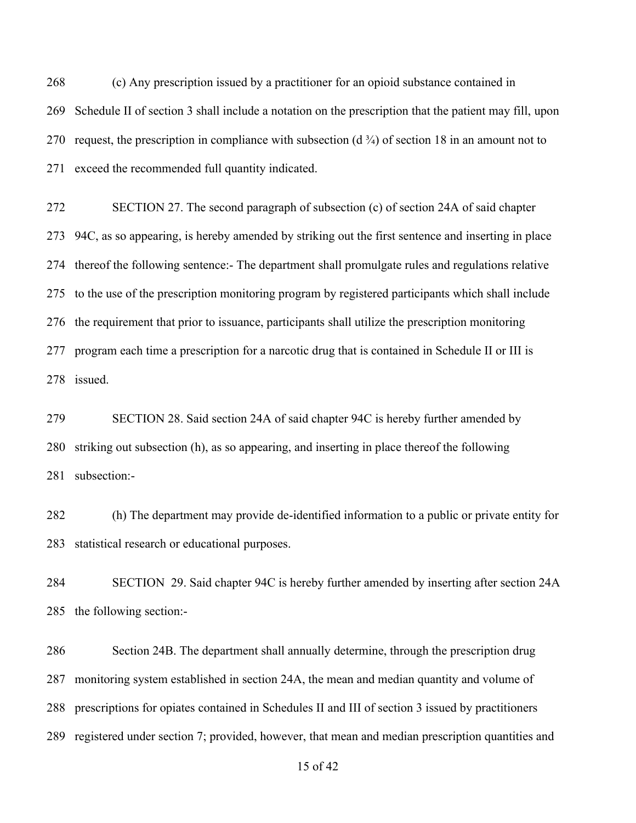(c) Any prescription issued by a practitioner for an opioid substance contained in Schedule II of section 3 shall include a notation on the prescription that the patient may fill, upon 270 request, the prescription in compliance with subsection  $(d \frac{3}{4})$  of section 18 in an amount not to exceed the recommended full quantity indicated.

 SECTION 27. The second paragraph of subsection (c) of section 24A of said chapter 94C, as so appearing, is hereby amended by striking out the first sentence and inserting in place thereof the following sentence:- The department shall promulgate rules and regulations relative to the use of the prescription monitoring program by registered participants which shall include the requirement that prior to issuance, participants shall utilize the prescription monitoring program each time a prescription for a narcotic drug that is contained in Schedule II or III is issued.

 SECTION 28. Said section 24A of said chapter 94C is hereby further amended by striking out subsection (h), as so appearing, and inserting in place thereof the following subsection:-

 (h) The department may provide de-identified information to a public or private entity for statistical research or educational purposes.

 SECTION 29. Said chapter 94C is hereby further amended by inserting after section 24A the following section:-

 Section 24B. The department shall annually determine, through the prescription drug monitoring system established in section 24A, the mean and median quantity and volume of prescriptions for opiates contained in Schedules II and III of section 3 issued by practitioners registered under section 7; provided, however, that mean and median prescription quantities and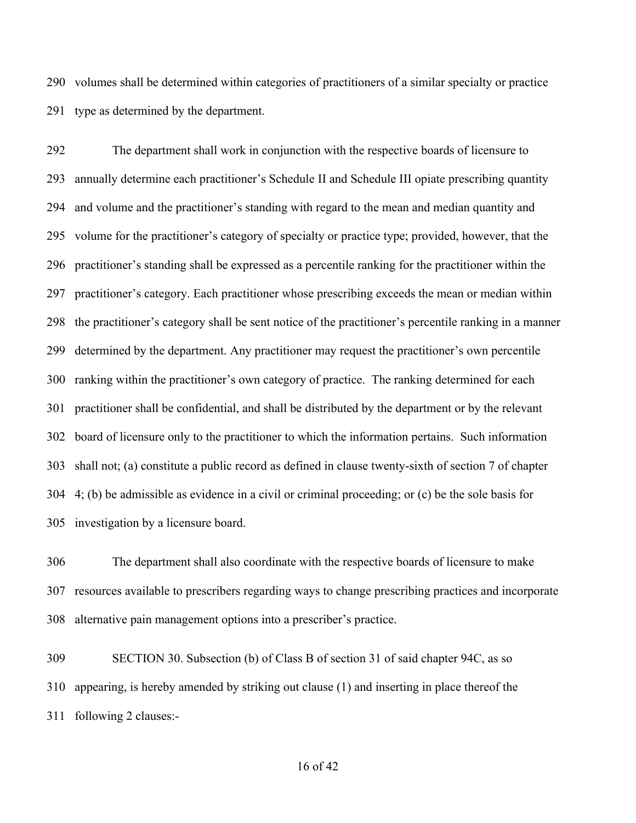volumes shall be determined within categories of practitioners of a similar specialty or practice type as determined by the department.

 The department shall work in conjunction with the respective boards of licensure to annually determine each practitioner's Schedule II and Schedule III opiate prescribing quantity and volume and the practitioner's standing with regard to the mean and median quantity and volume for the practitioner's category of specialty or practice type; provided, however, that the practitioner's standing shall be expressed as a percentile ranking for the practitioner within the practitioner's category. Each practitioner whose prescribing exceeds the mean or median within the practitioner's category shall be sent notice of the practitioner's percentile ranking in a manner determined by the department. Any practitioner may request the practitioner's own percentile ranking within the practitioner's own category of practice. The ranking determined for each practitioner shall be confidential, and shall be distributed by the department or by the relevant board of licensure only to the practitioner to which the information pertains. Such information shall not; (a) constitute a public record as defined in clause twenty-sixth of section 7 of chapter 4; (b) be admissible as evidence in a civil or criminal proceeding; or (c) be the sole basis for investigation by a licensure board.

 The department shall also coordinate with the respective boards of licensure to make resources available to prescribers regarding ways to change prescribing practices and incorporate alternative pain management options into a prescriber's practice.

 SECTION 30. Subsection (b) of Class B of section 31 of said chapter 94C, as so appearing, is hereby amended by striking out clause (1) and inserting in place thereof the following 2 clauses:-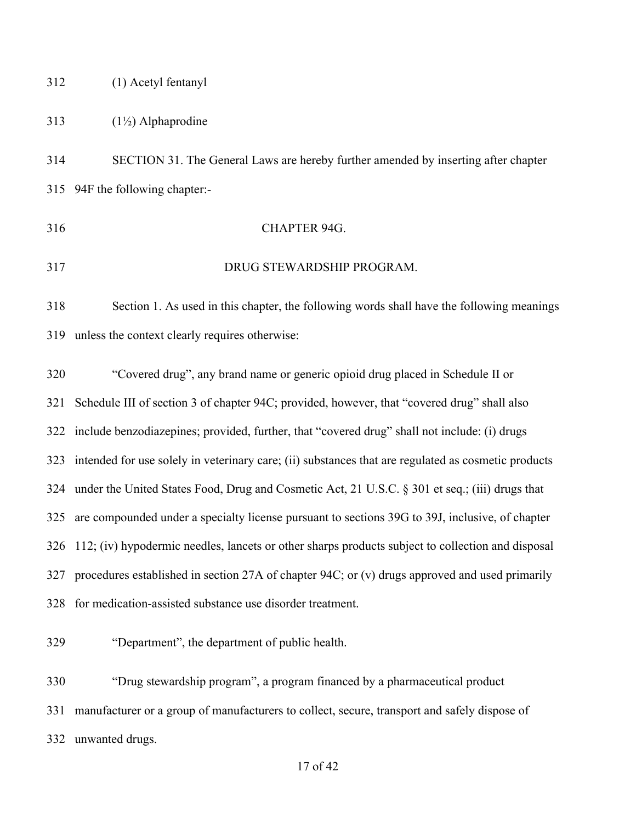## (1) Acetyl fentanyl

## 313  $(1\frac{1}{2})$  Alphaprodine

 SECTION 31. The General Laws are hereby further amended by inserting after chapter 94F the following chapter:-

- CHAPTER 94G.
- DRUG STEWARDSHIP PROGRAM.

 Section 1. As used in this chapter, the following words shall have the following meanings unless the context clearly requires otherwise:

 "Covered drug", any brand name or generic opioid drug placed in Schedule II or Schedule III of section 3 of chapter 94C; provided, however, that "covered drug" shall also include benzodiazepines; provided, further, that "covered drug" shall not include: (i) drugs intended for use solely in veterinary care; (ii) substances that are regulated as cosmetic products under the United States Food, Drug and Cosmetic Act, 21 U.S.C. § 301 et seq.; (iii) drugs that are compounded under a specialty license pursuant to sections 39G to 39J, inclusive, of chapter 112; (iv) hypodermic needles, lancets or other sharps products subject to collection and disposal procedures established in section 27A of chapter 94C; or (v) drugs approved and used primarily for medication-assisted substance use disorder treatment.

"Department", the department of public health.

 "Drug stewardship program", a program financed by a pharmaceutical product manufacturer or a group of manufacturers to collect, secure, transport and safely dispose of unwanted drugs.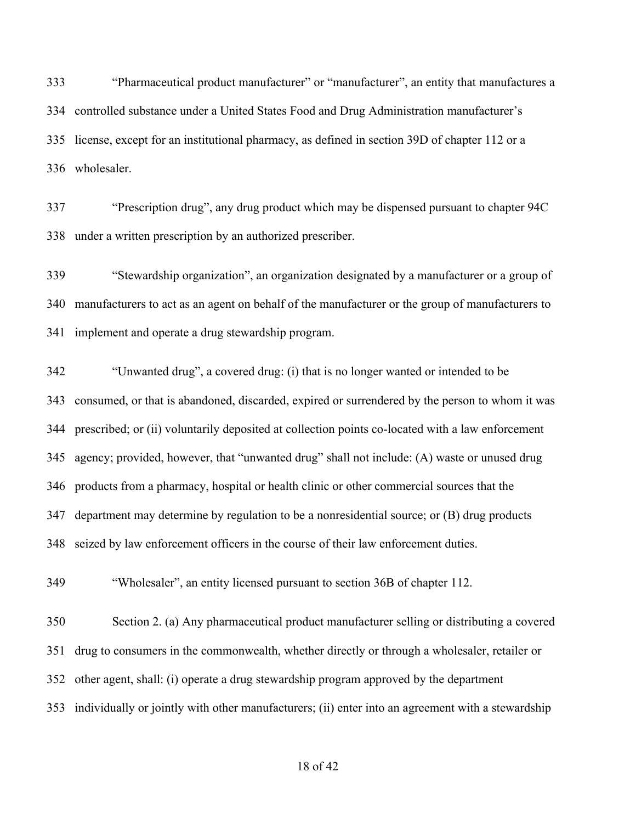"Pharmaceutical product manufacturer" or "manufacturer", an entity that manufactures a controlled substance under a United States Food and Drug Administration manufacturer's license, except for an institutional pharmacy, as defined in section 39D of chapter 112 or a wholesaler.

 "Prescription drug", any drug product which may be dispensed pursuant to chapter 94C under a written prescription by an authorized prescriber.

 "Stewardship organization", an organization designated by a manufacturer or a group of manufacturers to act as an agent on behalf of the manufacturer or the group of manufacturers to implement and operate a drug stewardship program.

 "Unwanted drug", a covered drug: (i) that is no longer wanted or intended to be consumed, or that is abandoned, discarded, expired or surrendered by the person to whom it was prescribed; or (ii) voluntarily deposited at collection points co-located with a law enforcement agency; provided, however, that "unwanted drug" shall not include: (A) waste or unused drug products from a pharmacy, hospital or health clinic or other commercial sources that the department may determine by regulation to be a nonresidential source; or (B) drug products seized by law enforcement officers in the course of their law enforcement duties.

"Wholesaler", an entity licensed pursuant to section 36B of chapter 112.

 Section 2. (a) Any pharmaceutical product manufacturer selling or distributing a covered drug to consumers in the commonwealth, whether directly or through a wholesaler, retailer or other agent, shall: (i) operate a drug stewardship program approved by the department individually or jointly with other manufacturers; (ii) enter into an agreement with a stewardship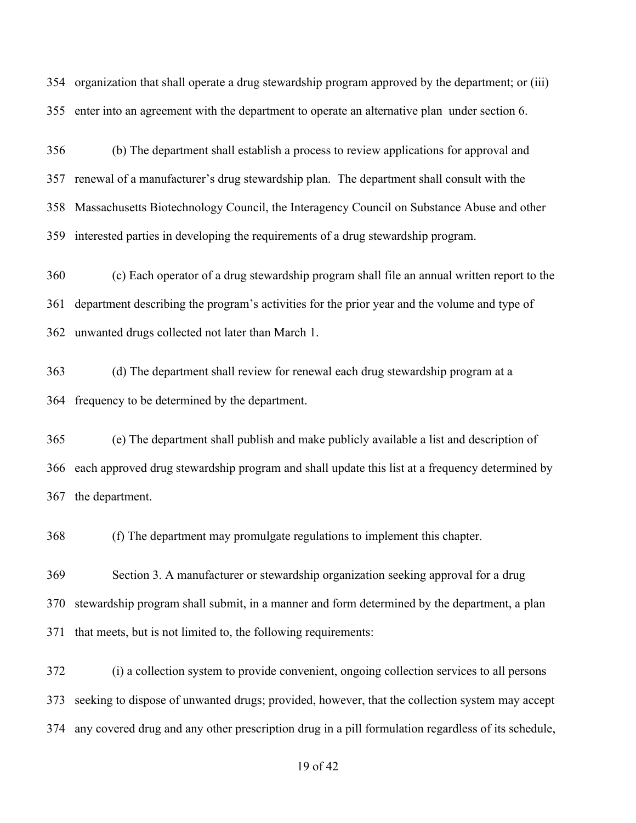organization that shall operate a drug stewardship program approved by the department; or (iii) enter into an agreement with the department to operate an alternative plan under section 6.

 (b) The department shall establish a process to review applications for approval and renewal of a manufacturer's drug stewardship plan. The department shall consult with the Massachusetts Biotechnology Council, the Interagency Council on Substance Abuse and other interested parties in developing the requirements of a drug stewardship program.

 (c) Each operator of a drug stewardship program shall file an annual written report to the department describing the program's activities for the prior year and the volume and type of unwanted drugs collected not later than March 1.

 (d) The department shall review for renewal each drug stewardship program at a frequency to be determined by the department.

 (e) The department shall publish and make publicly available a list and description of each approved drug stewardship program and shall update this list at a frequency determined by the department.

(f) The department may promulgate regulations to implement this chapter.

 Section 3. A manufacturer or stewardship organization seeking approval for a drug stewardship program shall submit, in a manner and form determined by the department, a plan that meets, but is not limited to, the following requirements:

 (i) a collection system to provide convenient, ongoing collection services to all persons seeking to dispose of unwanted drugs; provided, however, that the collection system may accept any covered drug and any other prescription drug in a pill formulation regardless of its schedule,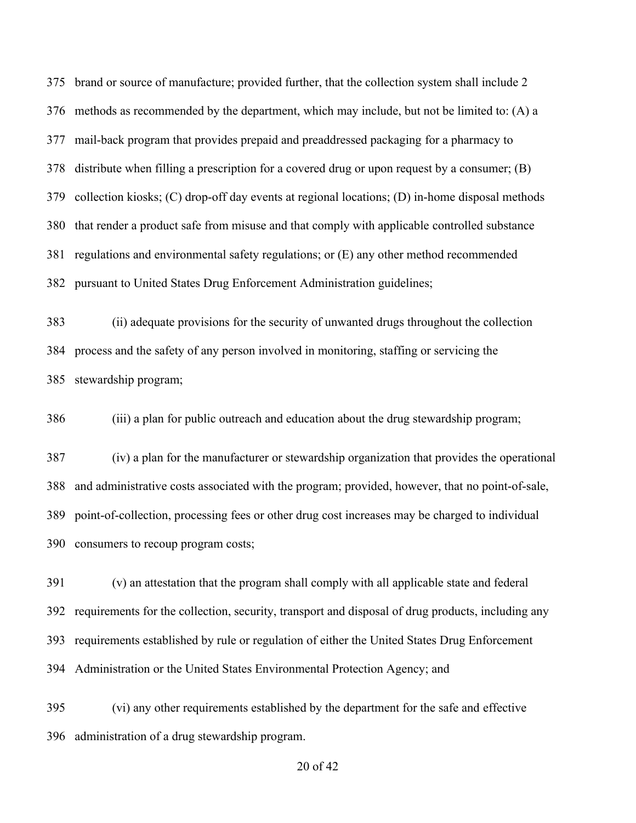brand or source of manufacture; provided further, that the collection system shall include 2 376 methods as recommended by the department, which may include, but not be limited to:  $(A)$  a mail-back program that provides prepaid and preaddressed packaging for a pharmacy to distribute when filling a prescription for a covered drug or upon request by a consumer; (B) collection kiosks; (C) drop-off day events at regional locations; (D) in-home disposal methods that render a product safe from misuse and that comply with applicable controlled substance regulations and environmental safety regulations; or (E) any other method recommended pursuant to United States Drug Enforcement Administration guidelines;

 (ii) adequate provisions for the security of unwanted drugs throughout the collection process and the safety of any person involved in monitoring, staffing or servicing the stewardship program;

(iii) a plan for public outreach and education about the drug stewardship program;

 (iv) a plan for the manufacturer or stewardship organization that provides the operational and administrative costs associated with the program; provided, however, that no point-of-sale, point-of-collection, processing fees or other drug cost increases may be charged to individual consumers to recoup program costs;

 (v) an attestation that the program shall comply with all applicable state and federal requirements for the collection, security, transport and disposal of drug products, including any requirements established by rule or regulation of either the United States Drug Enforcement Administration or the United States Environmental Protection Agency; and

 (vi) any other requirements established by the department for the safe and effective administration of a drug stewardship program.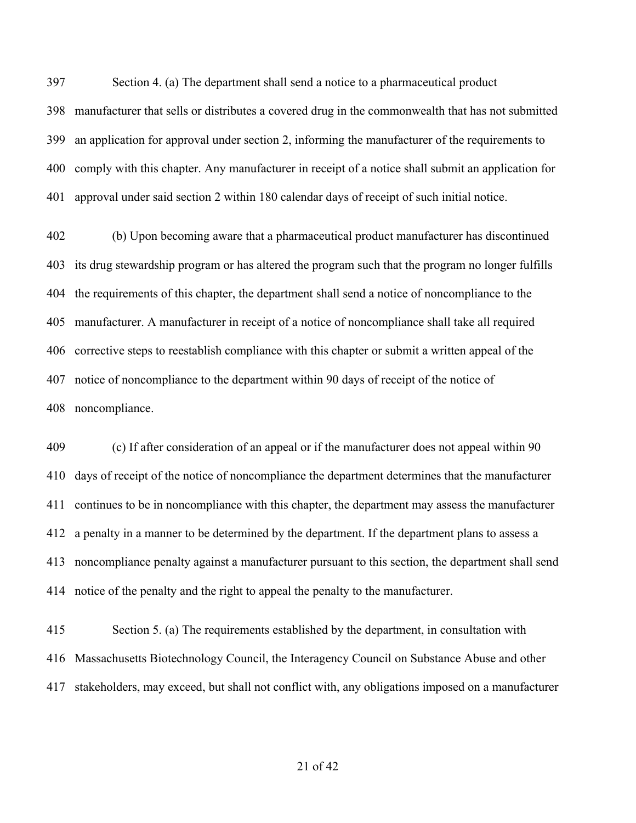Section 4. (a) The department shall send a notice to a pharmaceutical product manufacturer that sells or distributes a covered drug in the commonwealth that has not submitted an application for approval under section 2, informing the manufacturer of the requirements to comply with this chapter. Any manufacturer in receipt of a notice shall submit an application for approval under said section 2 within 180 calendar days of receipt of such initial notice.

 (b) Upon becoming aware that a pharmaceutical product manufacturer has discontinued its drug stewardship program or has altered the program such that the program no longer fulfills the requirements of this chapter, the department shall send a notice of noncompliance to the manufacturer. A manufacturer in receipt of a notice of noncompliance shall take all required corrective steps to reestablish compliance with this chapter or submit a written appeal of the notice of noncompliance to the department within 90 days of receipt of the notice of noncompliance.

 (c) If after consideration of an appeal or if the manufacturer does not appeal within 90 days of receipt of the notice of noncompliance the department determines that the manufacturer continues to be in noncompliance with this chapter, the department may assess the manufacturer a penalty in a manner to be determined by the department. If the department plans to assess a noncompliance penalty against a manufacturer pursuant to this section, the department shall send notice of the penalty and the right to appeal the penalty to the manufacturer.

 Section 5. (a) The requirements established by the department, in consultation with Massachusetts Biotechnology Council, the Interagency Council on Substance Abuse and other stakeholders, may exceed, but shall not conflict with, any obligations imposed on a manufacturer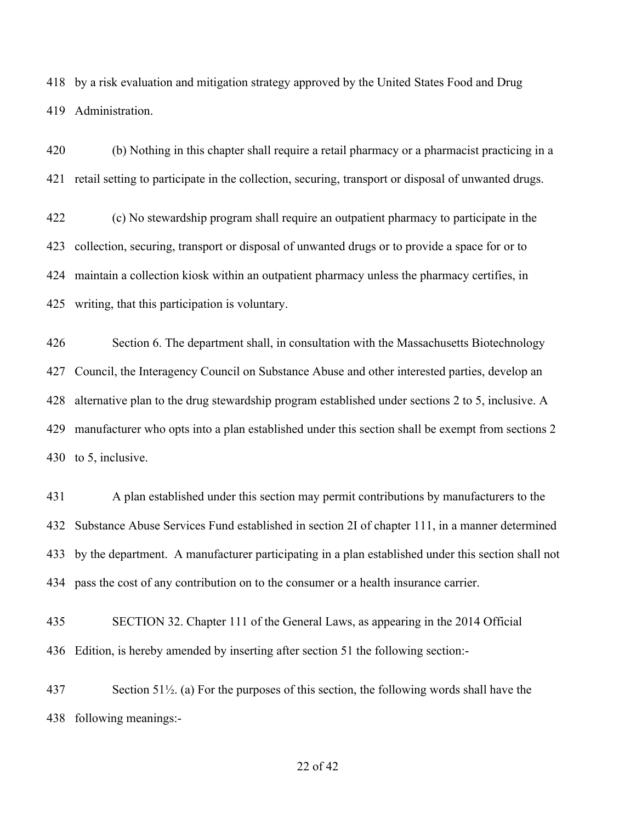by a risk evaluation and mitigation strategy approved by the United States Food and Drug Administration.

 (b) Nothing in this chapter shall require a retail pharmacy or a pharmacist practicing in a retail setting to participate in the collection, securing, transport or disposal of unwanted drugs.

 (c) No stewardship program shall require an outpatient pharmacy to participate in the collection, securing, transport or disposal of unwanted drugs or to provide a space for or to maintain a collection kiosk within an outpatient pharmacy unless the pharmacy certifies, in writing, that this participation is voluntary.

 Section 6. The department shall, in consultation with the Massachusetts Biotechnology Council, the Interagency Council on Substance Abuse and other interested parties, develop an alternative plan to the drug stewardship program established under sections 2 to 5, inclusive. A manufacturer who opts into a plan established under this section shall be exempt from sections 2 to 5, inclusive.

 A plan established under this section may permit contributions by manufacturers to the Substance Abuse Services Fund established in section 2I of chapter 111, in a manner determined by the department. A manufacturer participating in a plan established under this section shall not pass the cost of any contribution on to the consumer or a health insurance carrier.

 SECTION 32. Chapter 111 of the General Laws, as appearing in the 2014 Official Edition, is hereby amended by inserting after section 51 the following section:-

 Section 51½. (a) For the purposes of this section, the following words shall have the following meanings:-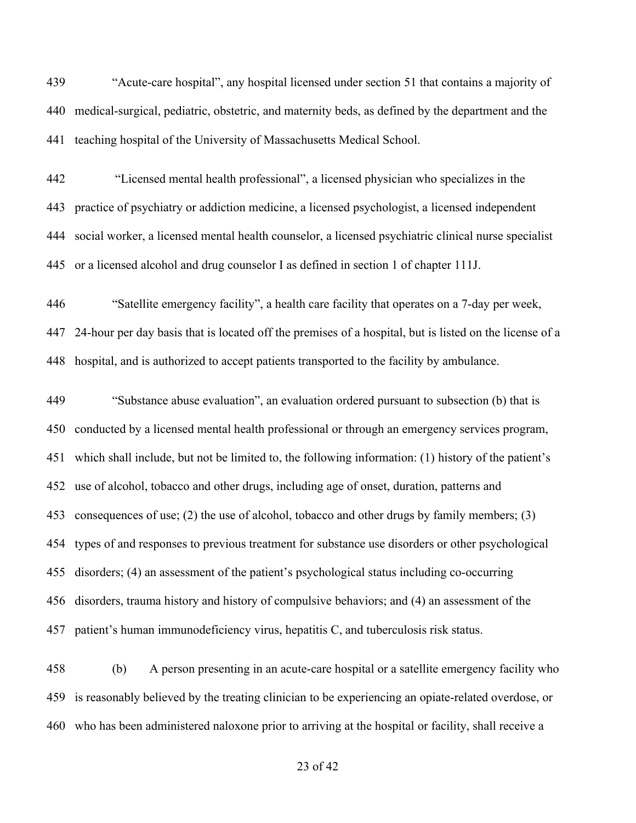"Acute-care hospital", any hospital licensed under section 51 that contains a majority of medical-surgical, pediatric, obstetric, and maternity beds, as defined by the department and the teaching hospital of the University of Massachusetts Medical School.

 "Licensed mental health professional", a licensed physician who specializes in the practice of psychiatry or addiction medicine, a licensed psychologist, a licensed independent social worker, a licensed mental health counselor, a licensed psychiatric clinical nurse specialist or a licensed alcohol and drug counselor I as defined in section 1 of chapter 111J.

 "Satellite emergency facility", a health care facility that operates on a 7-day per week, 24-hour per day basis that is located off the premises of a hospital, but is listed on the license of a hospital, and is authorized to accept patients transported to the facility by ambulance.

 "Substance abuse evaluation", an evaluation ordered pursuant to subsection (b) that is conducted by a licensed mental health professional or through an emergency services program, which shall include, but not be limited to, the following information: (1) history of the patient's use of alcohol, tobacco and other drugs, including age of onset, duration, patterns and consequences of use; (2) the use of alcohol, tobacco and other drugs by family members; (3) types of and responses to previous treatment for substance use disorders or other psychological disorders; (4) an assessment of the patient's psychological status including co-occurring disorders, trauma history and history of compulsive behaviors; and (4) an assessment of the patient's human immunodeficiency virus, hepatitis C, and tuberculosis risk status.

 (b) A person presenting in an acute-care hospital or a satellite emergency facility who is reasonably believed by the treating clinician to be experiencing an opiate-related overdose, or who has been administered naloxone prior to arriving at the hospital or facility, shall receive a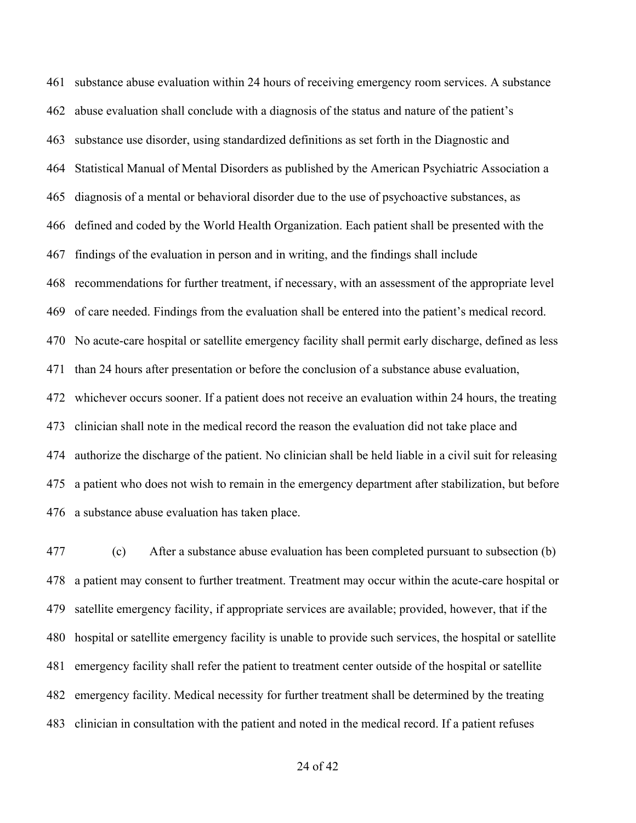substance abuse evaluation within 24 hours of receiving emergency room services. A substance abuse evaluation shall conclude with a diagnosis of the status and nature of the patient's substance use disorder, using standardized definitions as set forth in the Diagnostic and Statistical Manual of Mental Disorders as published by the American Psychiatric Association a diagnosis of a mental or behavioral disorder due to the use of psychoactive substances, as defined and coded by the World Health Organization. Each patient shall be presented with the findings of the evaluation in person and in writing, and the findings shall include recommendations for further treatment, if necessary, with an assessment of the appropriate level of care needed. Findings from the evaluation shall be entered into the patient's medical record. No acute-care hospital or satellite emergency facility shall permit early discharge, defined as less than 24 hours after presentation or before the conclusion of a substance abuse evaluation, whichever occurs sooner. If a patient does not receive an evaluation within 24 hours, the treating clinician shall note in the medical record the reason the evaluation did not take place and authorize the discharge of the patient. No clinician shall be held liable in a civil suit for releasing a patient who does not wish to remain in the emergency department after stabilization, but before a substance abuse evaluation has taken place.

 (c) After a substance abuse evaluation has been completed pursuant to subsection (b) a patient may consent to further treatment. Treatment may occur within the acute-care hospital or satellite emergency facility, if appropriate services are available; provided, however, that if the hospital or satellite emergency facility is unable to provide such services, the hospital or satellite emergency facility shall refer the patient to treatment center outside of the hospital or satellite emergency facility. Medical necessity for further treatment shall be determined by the treating clinician in consultation with the patient and noted in the medical record. If a patient refuses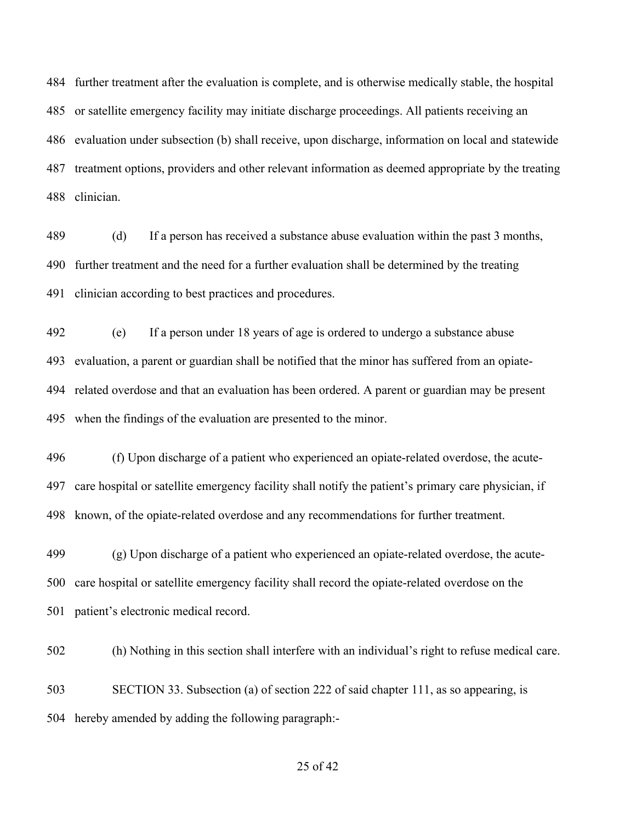further treatment after the evaluation is complete, and is otherwise medically stable, the hospital or satellite emergency facility may initiate discharge proceedings. All patients receiving an evaluation under subsection (b) shall receive, upon discharge, information on local and statewide treatment options, providers and other relevant information as deemed appropriate by the treating clinician.

 (d) If a person has received a substance abuse evaluation within the past 3 months, further treatment and the need for a further evaluation shall be determined by the treating clinician according to best practices and procedures.

 (e) If a person under 18 years of age is ordered to undergo a substance abuse evaluation, a parent or guardian shall be notified that the minor has suffered from an opiate- related overdose and that an evaluation has been ordered. A parent or guardian may be present when the findings of the evaluation are presented to the minor.

 (f) Upon discharge of a patient who experienced an opiate-related overdose, the acute- care hospital or satellite emergency facility shall notify the patient's primary care physician, if known, of the opiate-related overdose and any recommendations for further treatment.

 (g) Upon discharge of a patient who experienced an opiate-related overdose, the acute- care hospital or satellite emergency facility shall record the opiate-related overdose on the patient's electronic medical record.

(h) Nothing in this section shall interfere with an individual's right to refuse medical care.

 SECTION 33. Subsection (a) of section 222 of said chapter 111, as so appearing, is hereby amended by adding the following paragraph:-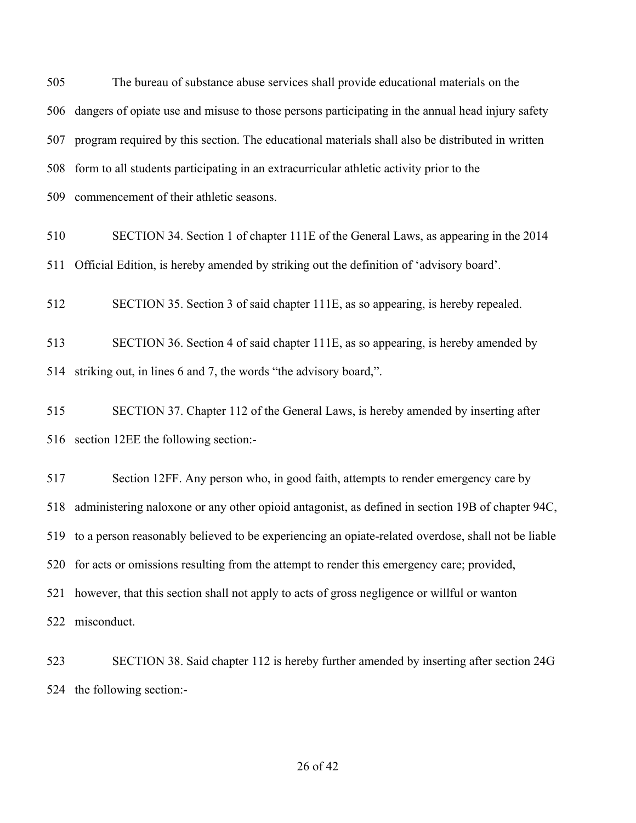The bureau of substance abuse services shall provide educational materials on the dangers of opiate use and misuse to those persons participating in the annual head injury safety program required by this section. The educational materials shall also be distributed in written form to all students participating in an extracurricular athletic activity prior to the commencement of their athletic seasons. SECTION 34. Section 1 of chapter 111E of the General Laws, as appearing in the 2014 Official Edition, is hereby amended by striking out the definition of 'advisory board'. SECTION 35. Section 3 of said chapter 111E, as so appearing, is hereby repealed. SECTION 36. Section 4 of said chapter 111E, as so appearing, is hereby amended by striking out, in lines 6 and 7, the words "the advisory board,". SECTION 37. Chapter 112 of the General Laws, is hereby amended by inserting after section 12EE the following section:- Section 12FF. Any person who, in good faith, attempts to render emergency care by administering naloxone or any other opioid antagonist, as defined in section 19B of chapter 94C, to a person reasonably believed to be experiencing an opiate-related overdose, shall not be liable for acts or omissions resulting from the attempt to render this emergency care; provided, however, that this section shall not apply to acts of gross negligence or willful or wanton

misconduct.

 SECTION 38. Said chapter 112 is hereby further amended by inserting after section 24G the following section:-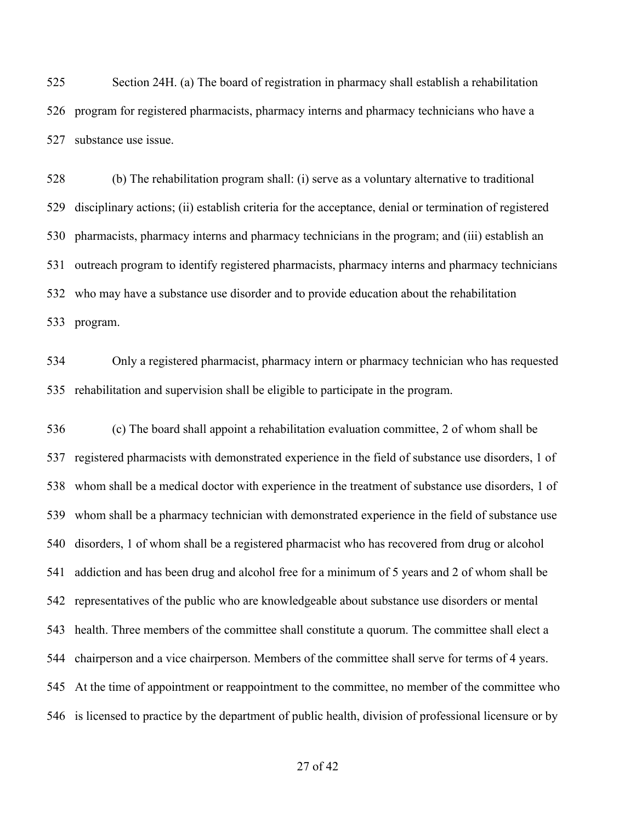Section 24H. (a) The board of registration in pharmacy shall establish a rehabilitation program for registered pharmacists, pharmacy interns and pharmacy technicians who have a substance use issue.

 (b) The rehabilitation program shall: (i) serve as a voluntary alternative to traditional disciplinary actions; (ii) establish criteria for the acceptance, denial or termination of registered pharmacists, pharmacy interns and pharmacy technicians in the program; and (iii) establish an outreach program to identify registered pharmacists, pharmacy interns and pharmacy technicians who may have a substance use disorder and to provide education about the rehabilitation program.

 Only a registered pharmacist, pharmacy intern or pharmacy technician who has requested rehabilitation and supervision shall be eligible to participate in the program.

 (c) The board shall appoint a rehabilitation evaluation committee, 2 of whom shall be registered pharmacists with demonstrated experience in the field of substance use disorders, 1 of whom shall be a medical doctor with experience in the treatment of substance use disorders, 1 of whom shall be a pharmacy technician with demonstrated experience in the field of substance use disorders, 1 of whom shall be a registered pharmacist who has recovered from drug or alcohol addiction and has been drug and alcohol free for a minimum of 5 years and 2 of whom shall be representatives of the public who are knowledgeable about substance use disorders or mental health. Three members of the committee shall constitute a quorum. The committee shall elect a chairperson and a vice chairperson. Members of the committee shall serve for terms of 4 years. At the time of appointment or reappointment to the committee, no member of the committee who is licensed to practice by the department of public health, division of professional licensure or by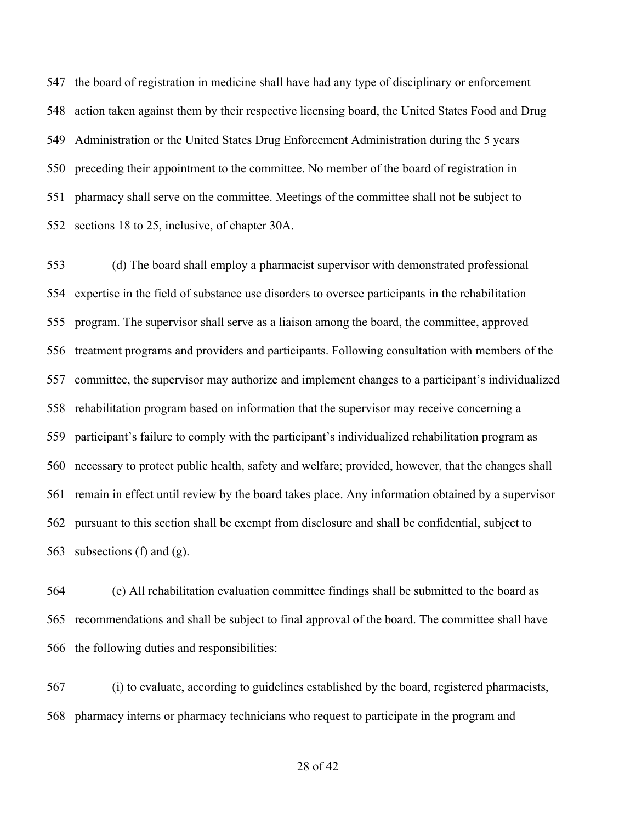the board of registration in medicine shall have had any type of disciplinary or enforcement action taken against them by their respective licensing board, the United States Food and Drug Administration or the United States Drug Enforcement Administration during the 5 years preceding their appointment to the committee. No member of the board of registration in pharmacy shall serve on the committee. Meetings of the committee shall not be subject to sections 18 to 25, inclusive, of chapter 30A.

 (d) The board shall employ a pharmacist supervisor with demonstrated professional expertise in the field of substance use disorders to oversee participants in the rehabilitation program. The supervisor shall serve as a liaison among the board, the committee, approved treatment programs and providers and participants. Following consultation with members of the committee, the supervisor may authorize and implement changes to a participant's individualized rehabilitation program based on information that the supervisor may receive concerning a participant's failure to comply with the participant's individualized rehabilitation program as necessary to protect public health, safety and welfare; provided, however, that the changes shall remain in effect until review by the board takes place. Any information obtained by a supervisor pursuant to this section shall be exempt from disclosure and shall be confidential, subject to subsections (f) and (g).

 (e) All rehabilitation evaluation committee findings shall be submitted to the board as recommendations and shall be subject to final approval of the board. The committee shall have the following duties and responsibilities:

 (i) to evaluate, according to guidelines established by the board, registered pharmacists, pharmacy interns or pharmacy technicians who request to participate in the program and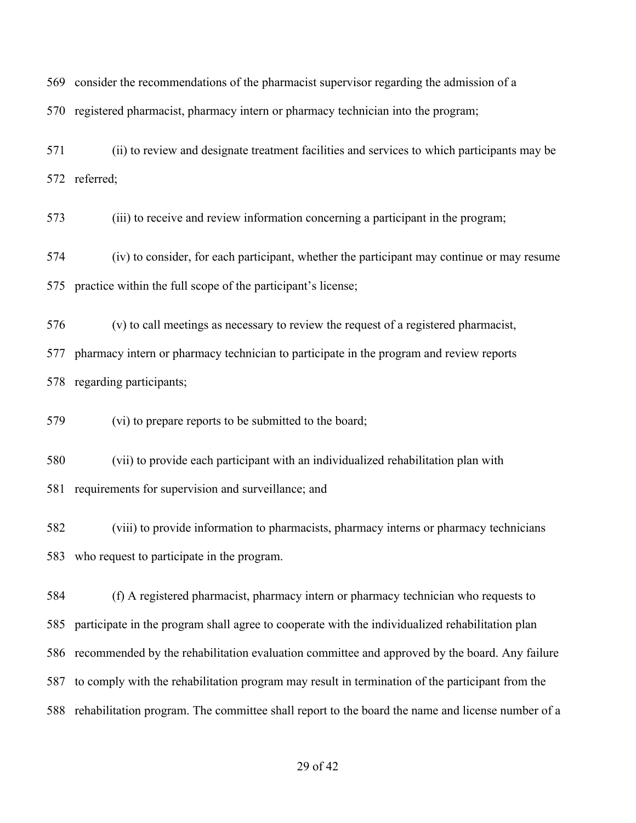consider the recommendations of the pharmacist supervisor regarding the admission of a

registered pharmacist, pharmacy intern or pharmacy technician into the program;

 (ii) to review and designate treatment facilities and services to which participants may be referred;

(iii) to receive and review information concerning a participant in the program;

 (iv) to consider, for each participant, whether the participant may continue or may resume practice within the full scope of the participant's license;

(v) to call meetings as necessary to review the request of a registered pharmacist,

 pharmacy intern or pharmacy technician to participate in the program and review reports regarding participants;

(vi) to prepare reports to be submitted to the board;

(vii) to provide each participant with an individualized rehabilitation plan with

requirements for supervision and surveillance; and

 (viii) to provide information to pharmacists, pharmacy interns or pharmacy technicians who request to participate in the program.

 (f) A registered pharmacist, pharmacy intern or pharmacy technician who requests to participate in the program shall agree to cooperate with the individualized rehabilitation plan recommended by the rehabilitation evaluation committee and approved by the board. Any failure to comply with the rehabilitation program may result in termination of the participant from the rehabilitation program. The committee shall report to the board the name and license number of a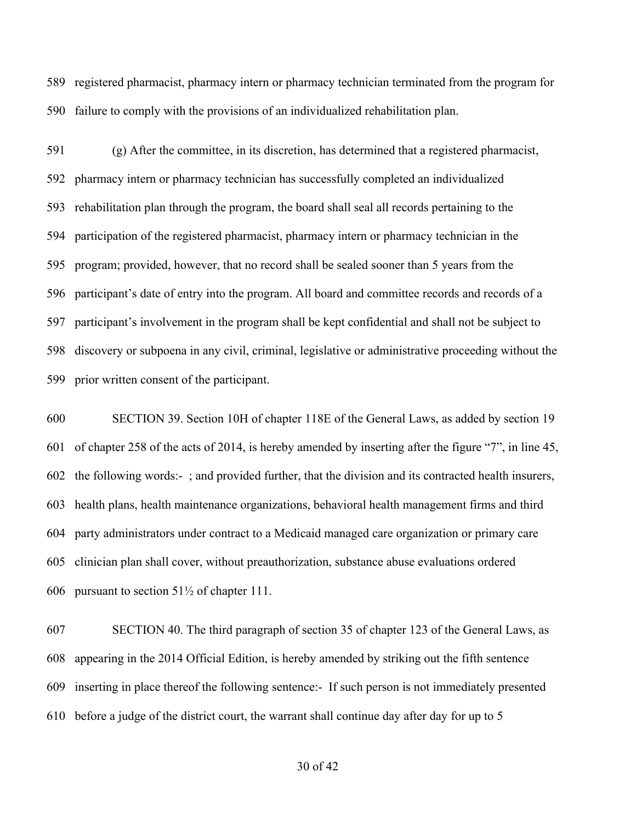registered pharmacist, pharmacy intern or pharmacy technician terminated from the program for failure to comply with the provisions of an individualized rehabilitation plan.

 (g) After the committee, in its discretion, has determined that a registered pharmacist, pharmacy intern or pharmacy technician has successfully completed an individualized rehabilitation plan through the program, the board shall seal all records pertaining to the participation of the registered pharmacist, pharmacy intern or pharmacy technician in the program; provided, however, that no record shall be sealed sooner than 5 years from the participant's date of entry into the program. All board and committee records and records of a participant's involvement in the program shall be kept confidential and shall not be subject to discovery or subpoena in any civil, criminal, legislative or administrative proceeding without the prior written consent of the participant.

 SECTION 39. Section 10H of chapter 118E of the General Laws, as added by section 19 of chapter 258 of the acts of 2014, is hereby amended by inserting after the figure "7", in line 45, the following words:- ; and provided further, that the division and its contracted health insurers, health plans, health maintenance organizations, behavioral health management firms and third party administrators under contract to a Medicaid managed care organization or primary care clinician plan shall cover, without preauthorization, substance abuse evaluations ordered pursuant to section 51½ of chapter 111.

 SECTION 40. The third paragraph of section 35 of chapter 123 of the General Laws, as appearing in the 2014 Official Edition, is hereby amended by striking out the fifth sentence inserting in place thereof the following sentence:- If such person is not immediately presented before a judge of the district court, the warrant shall continue day after day for up to 5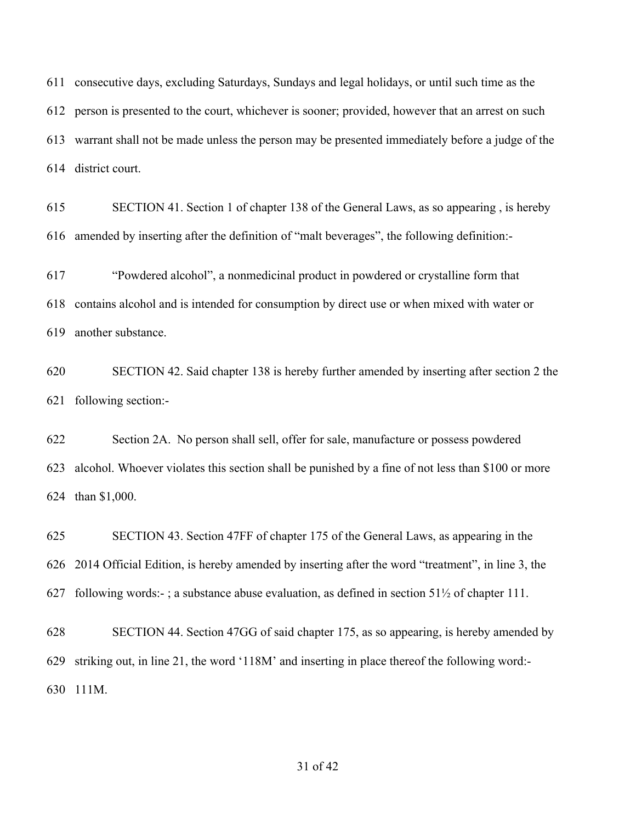consecutive days, excluding Saturdays, Sundays and legal holidays, or until such time as the person is presented to the court, whichever is sooner; provided, however that an arrest on such warrant shall not be made unless the person may be presented immediately before a judge of the district court.

 SECTION 41. Section 1 of chapter 138 of the General Laws, as so appearing , is hereby amended by inserting after the definition of "malt beverages", the following definition:-

 "Powdered alcohol", a nonmedicinal product in powdered or crystalline form that contains alcohol and is intended for consumption by direct use or when mixed with water or another substance.

 SECTION 42. Said chapter 138 is hereby further amended by inserting after section 2 the following section:-

 Section 2A. No person shall sell, offer for sale, manufacture or possess powdered alcohol. Whoever violates this section shall be punished by a fine of not less than \$100 or more than \$1,000.

 SECTION 43. Section 47FF of chapter 175 of the General Laws, as appearing in the 2014 Official Edition, is hereby amended by inserting after the word "treatment", in line 3, the 627 following words:-; a substance abuse evaluation, as defined in section  $51\frac{1}{2}$  of chapter 111.

 SECTION 44. Section 47GG of said chapter 175, as so appearing, is hereby amended by striking out, in line 21, the word '118M' and inserting in place thereof the following word:- 111M.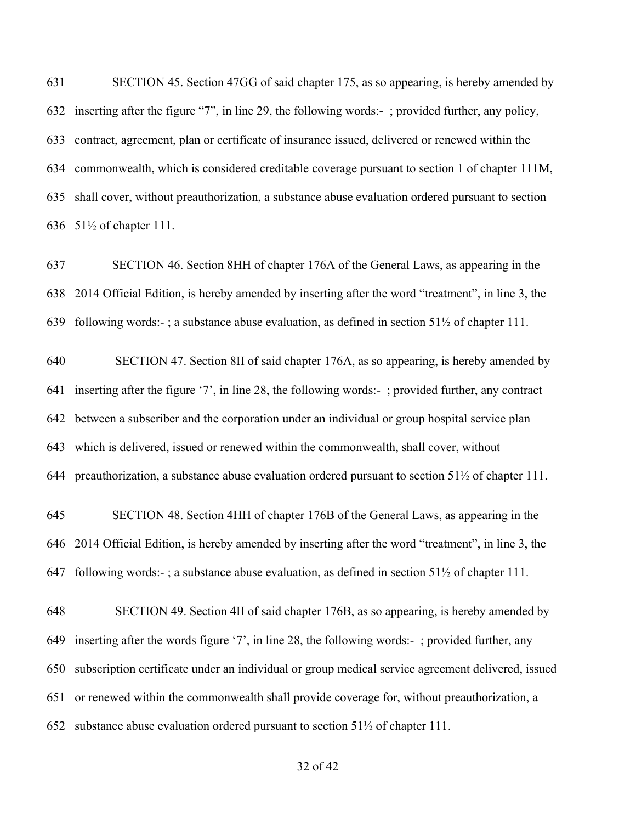SECTION 45. Section 47GG of said chapter 175, as so appearing, is hereby amended by inserting after the figure "7", in line 29, the following words:- ; provided further, any policy, contract, agreement, plan or certificate of insurance issued, delivered or renewed within the commonwealth, which is considered creditable coverage pursuant to section 1 of chapter 111M, shall cover, without preauthorization, a substance abuse evaluation ordered pursuant to section 51½ of chapter 111.

 SECTION 46. Section 8HH of chapter 176A of the General Laws, as appearing in the 2014 Official Edition, is hereby amended by inserting after the word "treatment", in line 3, the following words:- ; a substance abuse evaluation, as defined in section 51½ of chapter 111.

 SECTION 47. Section 8II of said chapter 176A, as so appearing, is hereby amended by inserting after the figure '7', in line 28, the following words:- ; provided further, any contract between a subscriber and the corporation under an individual or group hospital service plan which is delivered, issued or renewed within the commonwealth, shall cover, without preauthorization, a substance abuse evaluation ordered pursuant to section 51½ of chapter 111.

 SECTION 48. Section 4HH of chapter 176B of the General Laws, as appearing in the 2014 Official Edition, is hereby amended by inserting after the word "treatment", in line 3, the following words:- ; a substance abuse evaluation, as defined in section 51½ of chapter 111.

 SECTION 49. Section 4II of said chapter 176B, as so appearing, is hereby amended by inserting after the words figure '7', in line 28, the following words:- ; provided further, any subscription certificate under an individual or group medical service agreement delivered, issued or renewed within the commonwealth shall provide coverage for, without preauthorization, a substance abuse evaluation ordered pursuant to section 51½ of chapter 111.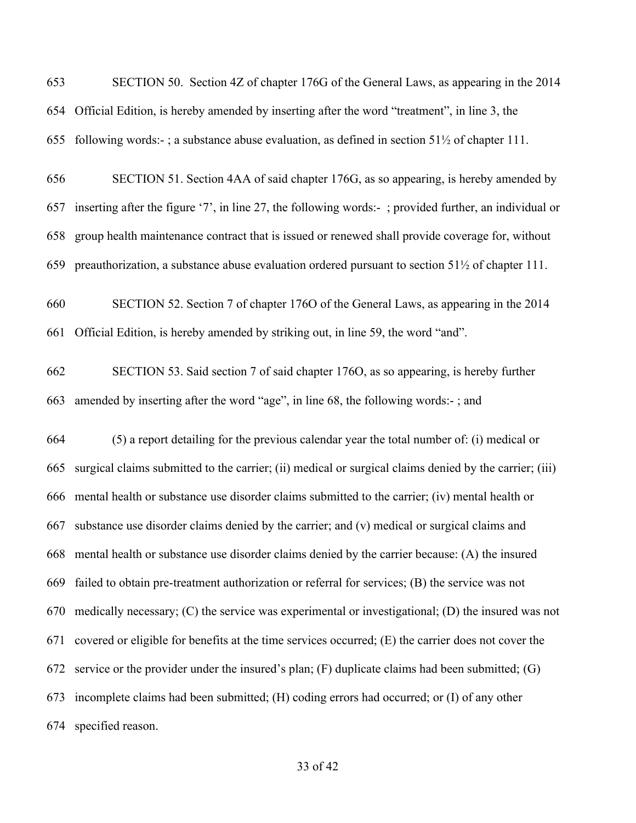SECTION 50. Section 4Z of chapter 176G of the General Laws, as appearing in the 2014 Official Edition, is hereby amended by inserting after the word "treatment", in line 3, the 655 following words:-; a substance abuse evaluation, as defined in section  $51\frac{1}{2}$  of chapter 111. SECTION 51. Section 4AA of said chapter 176G, as so appearing, is hereby amended by inserting after the figure '7', in line 27, the following words:- ; provided further, an individual or group health maintenance contract that is issued or renewed shall provide coverage for, without preauthorization, a substance abuse evaluation ordered pursuant to section 51½ of chapter 111. SECTION 52. Section 7 of chapter 176O of the General Laws, as appearing in the 2014 Official Edition, is hereby amended by striking out, in line 59, the word "and". SECTION 53. Said section 7 of said chapter 176O, as so appearing, is hereby further amended by inserting after the word "age", in line 68, the following words:- ; and (5) a report detailing for the previous calendar year the total number of: (i) medical or surgical claims submitted to the carrier; (ii) medical or surgical claims denied by the carrier; (iii) mental health or substance use disorder claims submitted to the carrier; (iv) mental health or substance use disorder claims denied by the carrier; and (v) medical or surgical claims and mental health or substance use disorder claims denied by the carrier because: (A) the insured failed to obtain pre-treatment authorization or referral for services; (B) the service was not medically necessary; (C) the service was experimental or investigational; (D) the insured was not covered or eligible for benefits at the time services occurred; (E) the carrier does not cover the

service or the provider under the insured's plan; (F) duplicate claims had been submitted; (G)

incomplete claims had been submitted; (H) coding errors had occurred; or (I) of any other

specified reason.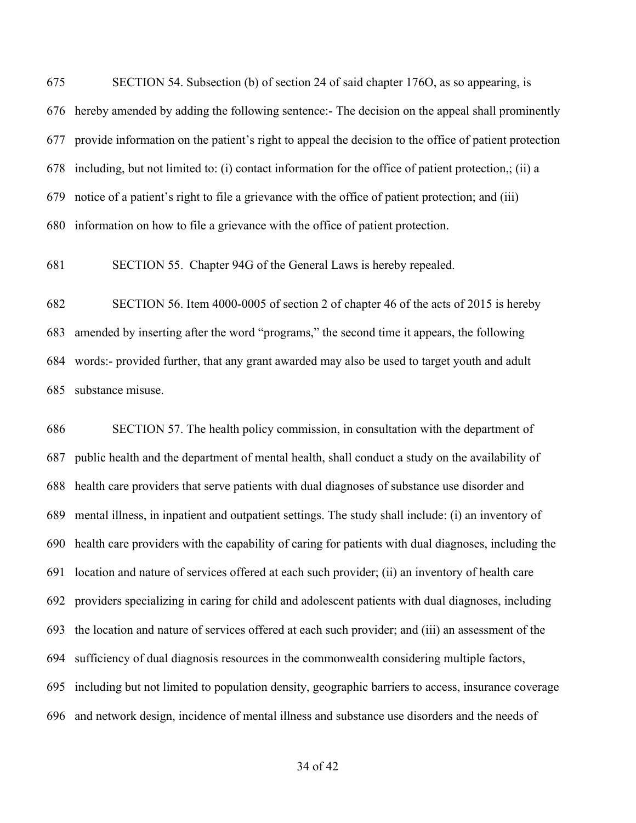SECTION 54. Subsection (b) of section 24 of said chapter 176O, as so appearing, is hereby amended by adding the following sentence:- The decision on the appeal shall prominently provide information on the patient's right to appeal the decision to the office of patient protection including, but not limited to: (i) contact information for the office of patient protection,; (ii) a notice of a patient's right to file a grievance with the office of patient protection; and (iii) information on how to file a grievance with the office of patient protection.

SECTION 55. Chapter 94G of the General Laws is hereby repealed.

 SECTION 56. Item 4000-0005 of section 2 of chapter 46 of the acts of 2015 is hereby amended by inserting after the word "programs," the second time it appears, the following words:- provided further, that any grant awarded may also be used to target youth and adult substance misuse.

 SECTION 57. The health policy commission, in consultation with the department of public health and the department of mental health, shall conduct a study on the availability of health care providers that serve patients with dual diagnoses of substance use disorder and mental illness, in inpatient and outpatient settings. The study shall include: (i) an inventory of health care providers with the capability of caring for patients with dual diagnoses, including the location and nature of services offered at each such provider; (ii) an inventory of health care providers specializing in caring for child and adolescent patients with dual diagnoses, including the location and nature of services offered at each such provider; and (iii) an assessment of the sufficiency of dual diagnosis resources in the commonwealth considering multiple factors, including but not limited to population density, geographic barriers to access, insurance coverage and network design, incidence of mental illness and substance use disorders and the needs of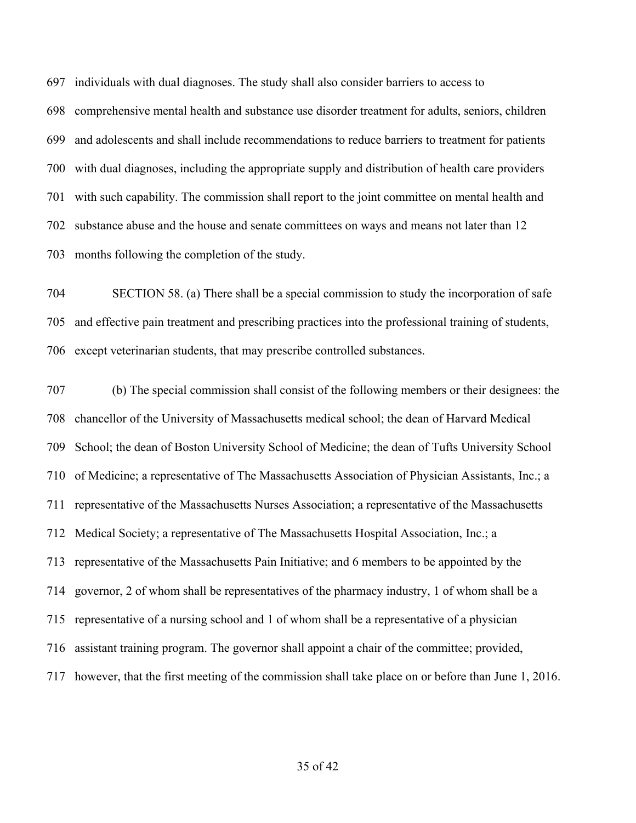individuals with dual diagnoses. The study shall also consider barriers to access to

 comprehensive mental health and substance use disorder treatment for adults, seniors, children and adolescents and shall include recommendations to reduce barriers to treatment for patients with dual diagnoses, including the appropriate supply and distribution of health care providers with such capability. The commission shall report to the joint committee on mental health and substance abuse and the house and senate committees on ways and means not later than 12 months following the completion of the study.

 SECTION 58. (a) There shall be a special commission to study the incorporation of safe and effective pain treatment and prescribing practices into the professional training of students, except veterinarian students, that may prescribe controlled substances.

 (b) The special commission shall consist of the following members or their designees: the chancellor of the University of Massachusetts medical school; the dean of Harvard Medical School; the dean of Boston University School of Medicine; the dean of Tufts University School of Medicine; a representative of The Massachusetts Association of Physician Assistants, Inc.; a representative of the Massachusetts Nurses Association; a representative of the Massachusetts Medical Society; a representative of The Massachusetts Hospital Association, Inc.; a representative of the Massachusetts Pain Initiative; and 6 members to be appointed by the governor, 2 of whom shall be representatives of the pharmacy industry, 1 of whom shall be a representative of a nursing school and 1 of whom shall be a representative of a physician assistant training program. The governor shall appoint a chair of the committee; provided, however, that the first meeting of the commission shall take place on or before than June 1, 2016.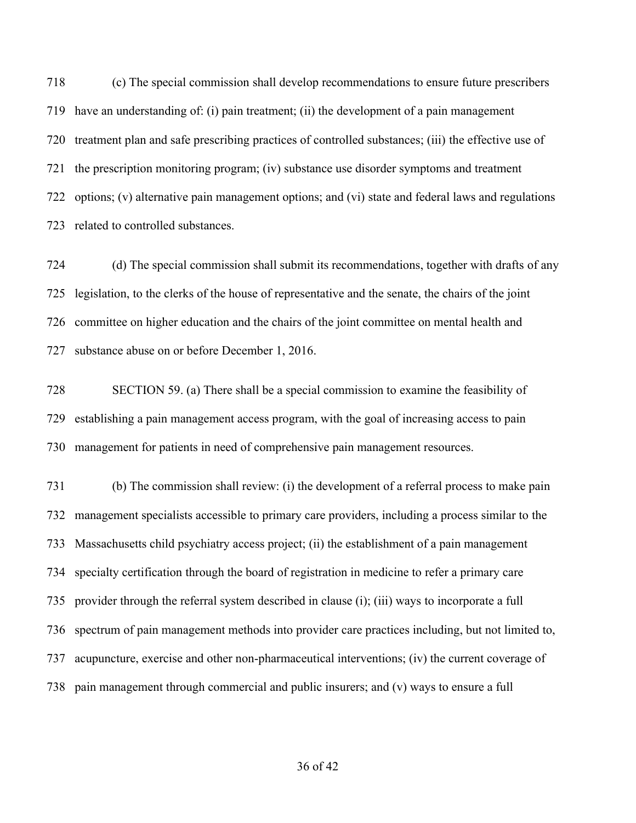(c) The special commission shall develop recommendations to ensure future prescribers have an understanding of: (i) pain treatment; (ii) the development of a pain management treatment plan and safe prescribing practices of controlled substances; (iii) the effective use of the prescription monitoring program; (iv) substance use disorder symptoms and treatment options; (v) alternative pain management options; and (vi) state and federal laws and regulations related to controlled substances.

 (d) The special commission shall submit its recommendations, together with drafts of any legislation, to the clerks of the house of representative and the senate, the chairs of the joint committee on higher education and the chairs of the joint committee on mental health and substance abuse on or before December 1, 2016.

 SECTION 59. (a) There shall be a special commission to examine the feasibility of establishing a pain management access program, with the goal of increasing access to pain management for patients in need of comprehensive pain management resources.

 (b) The commission shall review: (i) the development of a referral process to make pain management specialists accessible to primary care providers, including a process similar to the Massachusetts child psychiatry access project; (ii) the establishment of a pain management specialty certification through the board of registration in medicine to refer a primary care provider through the referral system described in clause (i); (iii) ways to incorporate a full spectrum of pain management methods into provider care practices including, but not limited to, acupuncture, exercise and other non-pharmaceutical interventions; (iv) the current coverage of pain management through commercial and public insurers; and (v) ways to ensure a full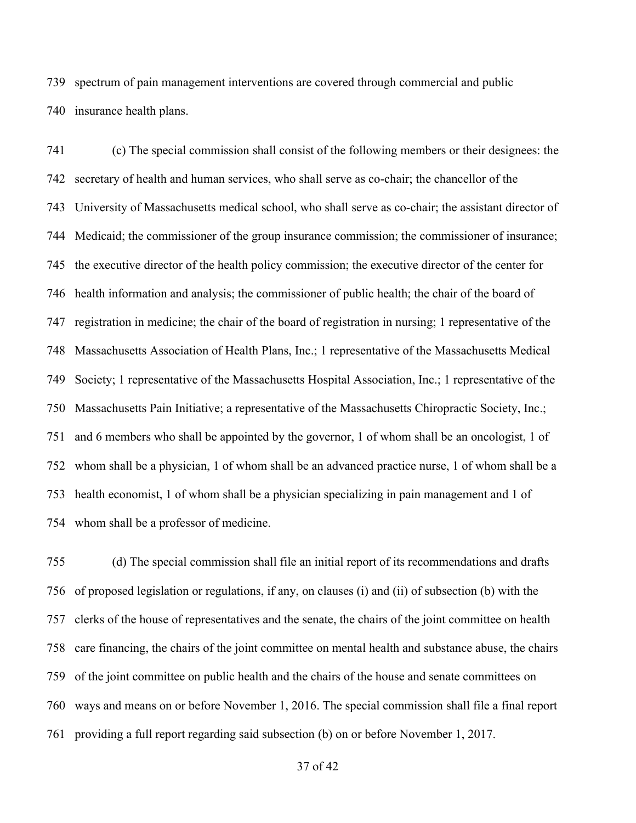spectrum of pain management interventions are covered through commercial and public insurance health plans.

 (c) The special commission shall consist of the following members or their designees: the secretary of health and human services, who shall serve as co-chair; the chancellor of the University of Massachusetts medical school, who shall serve as co-chair; the assistant director of Medicaid; the commissioner of the group insurance commission; the commissioner of insurance; the executive director of the health policy commission; the executive director of the center for health information and analysis; the commissioner of public health; the chair of the board of registration in medicine; the chair of the board of registration in nursing; 1 representative of the Massachusetts Association of Health Plans, Inc.; 1 representative of the Massachusetts Medical Society; 1 representative of the Massachusetts Hospital Association, Inc.; 1 representative of the Massachusetts Pain Initiative; a representative of the Massachusetts Chiropractic Society, Inc.; and 6 members who shall be appointed by the governor, 1 of whom shall be an oncologist, 1 of whom shall be a physician, 1 of whom shall be an advanced practice nurse, 1 of whom shall be a health economist, 1 of whom shall be a physician specializing in pain management and 1 of whom shall be a professor of medicine.

 (d) The special commission shall file an initial report of its recommendations and drafts of proposed legislation or regulations, if any, on clauses (i) and (ii) of subsection (b) with the clerks of the house of representatives and the senate, the chairs of the joint committee on health care financing, the chairs of the joint committee on mental health and substance abuse, the chairs of the joint committee on public health and the chairs of the house and senate committees on ways and means on or before November 1, 2016. The special commission shall file a final report providing a full report regarding said subsection (b) on or before November 1, 2017.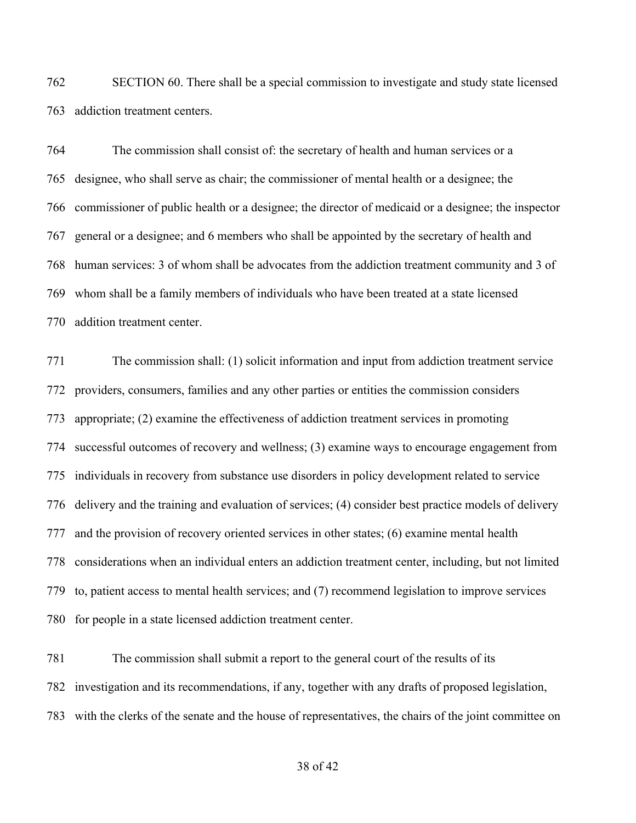SECTION 60. There shall be a special commission to investigate and study state licensed addiction treatment centers.

 The commission shall consist of: the secretary of health and human services or a designee, who shall serve as chair; the commissioner of mental health or a designee; the commissioner of public health or a designee; the director of medicaid or a designee; the inspector general or a designee; and 6 members who shall be appointed by the secretary of health and human services: 3 of whom shall be advocates from the addiction treatment community and 3 of whom shall be a family members of individuals who have been treated at a state licensed addition treatment center.

 The commission shall: (1) solicit information and input from addiction treatment service providers, consumers, families and any other parties or entities the commission considers appropriate; (2) examine the effectiveness of addiction treatment services in promoting successful outcomes of recovery and wellness; (3) examine ways to encourage engagement from individuals in recovery from substance use disorders in policy development related to service delivery and the training and evaluation of services; (4) consider best practice models of delivery and the provision of recovery oriented services in other states; (6) examine mental health considerations when an individual enters an addiction treatment center, including, but not limited to, patient access to mental health services; and (7) recommend legislation to improve services for people in a state licensed addiction treatment center.

 The commission shall submit a report to the general court of the results of its investigation and its recommendations, if any, together with any drafts of proposed legislation, with the clerks of the senate and the house of representatives, the chairs of the joint committee on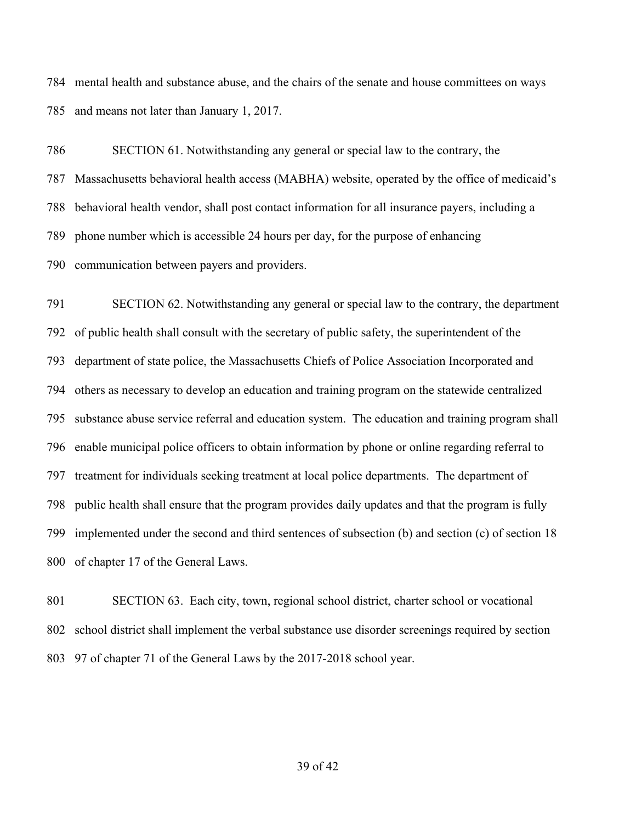mental health and substance abuse, and the chairs of the senate and house committees on ways and means not later than January 1, 2017.

 SECTION 61. Notwithstanding any general or special law to the contrary, the Massachusetts behavioral health access (MABHA) website, operated by the office of medicaid's behavioral health vendor, shall post contact information for all insurance payers, including a phone number which is accessible 24 hours per day, for the purpose of enhancing communication between payers and providers.

 SECTION 62. Notwithstanding any general or special law to the contrary, the department of public health shall consult with the secretary of public safety, the superintendent of the department of state police, the Massachusetts Chiefs of Police Association Incorporated and others as necessary to develop an education and training program on the statewide centralized substance abuse service referral and education system. The education and training program shall enable municipal police officers to obtain information by phone or online regarding referral to treatment for individuals seeking treatment at local police departments. The department of public health shall ensure that the program provides daily updates and that the program is fully implemented under the second and third sentences of subsection (b) and section (c) of section 18 of chapter 17 of the General Laws.

 SECTION 63. Each city, town, regional school district, charter school or vocational school district shall implement the verbal substance use disorder screenings required by section 97 of chapter 71 of the General Laws by the 2017-2018 school year.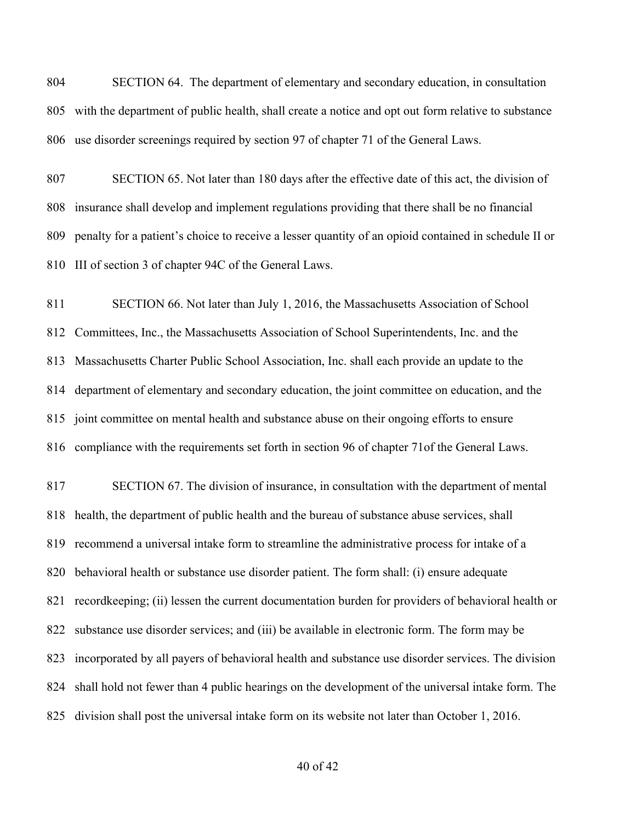SECTION 64. The department of elementary and secondary education, in consultation with the department of public health, shall create a notice and opt out form relative to substance use disorder screenings required by section 97 of chapter 71 of the General Laws.

 SECTION 65. Not later than 180 days after the effective date of this act, the division of insurance shall develop and implement regulations providing that there shall be no financial penalty for a patient's choice to receive a lesser quantity of an opioid contained in schedule II or III of section 3 of chapter 94C of the General Laws.

 SECTION 66. Not later than July 1, 2016, the Massachusetts Association of School Committees, Inc., the Massachusetts Association of School Superintendents, Inc. and the Massachusetts Charter Public School Association, Inc. shall each provide an update to the department of elementary and secondary education, the joint committee on education, and the joint committee on mental health and substance abuse on their ongoing efforts to ensure compliance with the requirements set forth in section 96 of chapter 71of the General Laws.

 SECTION 67. The division of insurance, in consultation with the department of mental health, the department of public health and the bureau of substance abuse services, shall recommend a universal intake form to streamline the administrative process for intake of a behavioral health or substance use disorder patient. The form shall: (i) ensure adequate recordkeeping; (ii) lessen the current documentation burden for providers of behavioral health or substance use disorder services; and (iii) be available in electronic form. The form may be incorporated by all payers of behavioral health and substance use disorder services. The division shall hold not fewer than 4 public hearings on the development of the universal intake form. The division shall post the universal intake form on its website not later than October 1, 2016.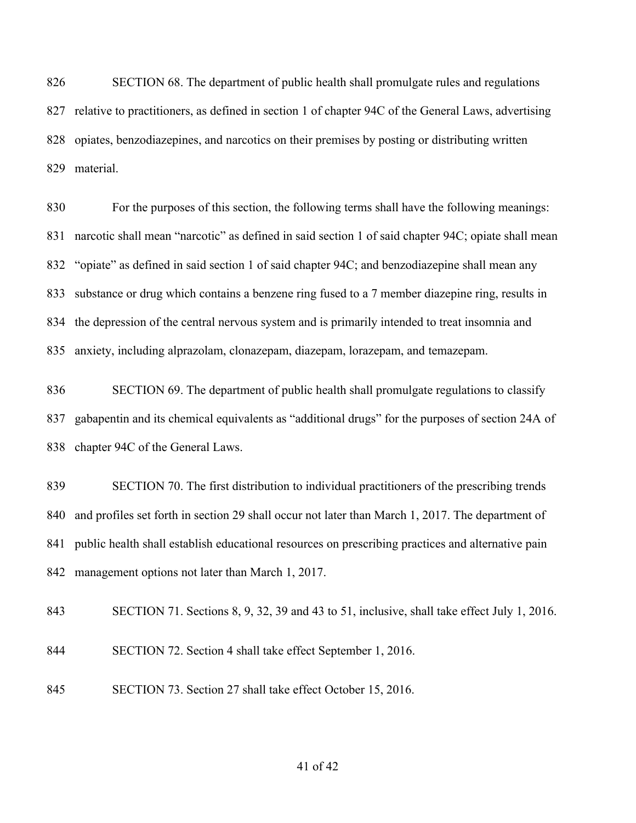SECTION 68. The department of public health shall promulgate rules and regulations relative to practitioners, as defined in section 1 of chapter 94C of the General Laws, advertising opiates, benzodiazepines, and narcotics on their premises by posting or distributing written material.

 For the purposes of this section, the following terms shall have the following meanings: narcotic shall mean "narcotic" as defined in said section 1 of said chapter 94C; opiate shall mean "opiate" as defined in said section 1 of said chapter 94C; and benzodiazepine shall mean any substance or drug which contains a benzene ring fused to a 7 member diazepine ring, results in the depression of the central nervous system and is primarily intended to treat insomnia and anxiety, including alprazolam, clonazepam, diazepam, lorazepam, and temazepam.

 SECTION 69. The department of public health shall promulgate regulations to classify gabapentin and its chemical equivalents as "additional drugs" for the purposes of section 24A of chapter 94C of the General Laws.

 SECTION 70. The first distribution to individual practitioners of the prescribing trends and profiles set forth in section 29 shall occur not later than March 1, 2017. The department of public health shall establish educational resources on prescribing practices and alternative pain management options not later than March 1, 2017.

SECTION 71. Sections 8, 9, 32, 39 and 43 to 51, inclusive, shall take effect July 1, 2016.

- SECTION 72. Section 4 shall take effect September 1, 2016.
- SECTION 73. Section 27 shall take effect October 15, 2016.